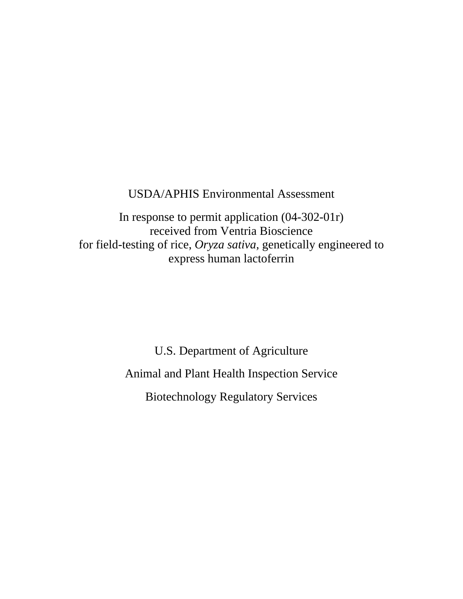# USDA/APHIS Environmental Assessment

In response to permit application (04-302-01r) received from Ventria Bioscience for field-testing of rice, *Oryza sativa,* genetically engineered to express human lactoferrin

> U.S. Department of Agriculture Animal and Plant Health Inspection Service Biotechnology Regulatory Services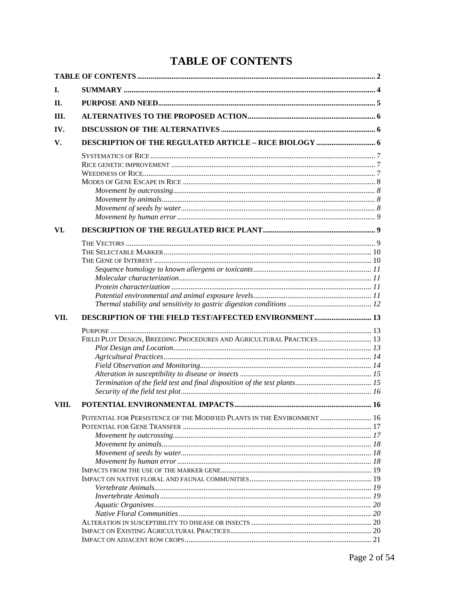# **TABLE OF CONTENTS**

| Ι.    |                                                                         |  |
|-------|-------------------------------------------------------------------------|--|
| Н.    |                                                                         |  |
| III.  |                                                                         |  |
| IV.   |                                                                         |  |
|       |                                                                         |  |
| V.    |                                                                         |  |
|       |                                                                         |  |
|       |                                                                         |  |
|       |                                                                         |  |
|       |                                                                         |  |
|       |                                                                         |  |
|       |                                                                         |  |
|       |                                                                         |  |
| VI.   |                                                                         |  |
|       |                                                                         |  |
|       |                                                                         |  |
|       |                                                                         |  |
|       |                                                                         |  |
|       |                                                                         |  |
|       |                                                                         |  |
|       |                                                                         |  |
|       |                                                                         |  |
| VII.  | <b>DESCRIPTION OF THE FIELD TEST/AFFECTED ENVIRONMENT  13</b>           |  |
|       |                                                                         |  |
|       | FIELD PLOT DESIGN, BREEDING PROCEDURES AND AGRICULTURAL PRACTICES 13    |  |
|       |                                                                         |  |
|       |                                                                         |  |
|       |                                                                         |  |
|       |                                                                         |  |
|       |                                                                         |  |
|       |                                                                         |  |
| VIII. |                                                                         |  |
|       | POTENTIAL FOR PERSISTENCE OF THE MODIFIED PLANTS IN THE ENVIRONMENT  16 |  |
|       |                                                                         |  |
|       |                                                                         |  |
|       |                                                                         |  |
|       |                                                                         |  |
|       |                                                                         |  |
|       |                                                                         |  |
|       |                                                                         |  |
|       |                                                                         |  |
|       |                                                                         |  |
|       |                                                                         |  |
|       |                                                                         |  |
|       |                                                                         |  |
|       |                                                                         |  |
|       |                                                                         |  |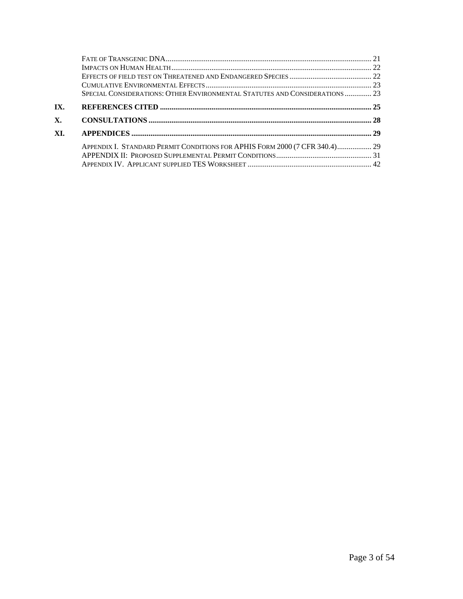|     | SPECIAL CONSIDERATIONS: OTHER ENVIRONMENTAL STATUTES AND CONSIDERATIONS  23 |  |
|-----|-----------------------------------------------------------------------------|--|
| IX. |                                                                             |  |
|     |                                                                             |  |
| X.  |                                                                             |  |
| XI. |                                                                             |  |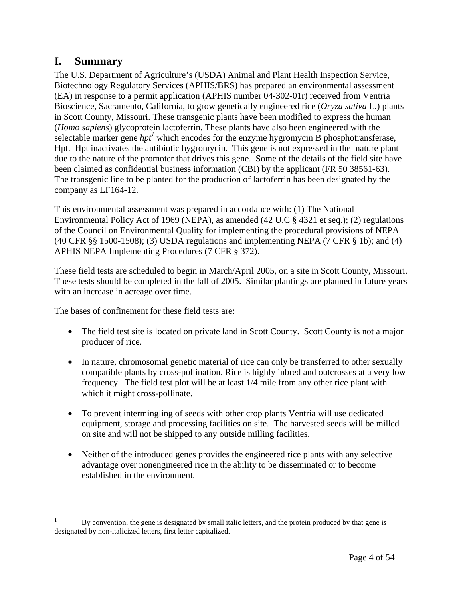# **I. Summary**

 $\overline{a}$ 

The U.S. Department of Agriculture's (USDA) Animal and Plant Health Inspection Service, Biotechnology Regulatory Services (APHIS/BRS) has prepared an environmental assessment (EA) in response to a permit application (APHIS number 04-302-01r) received from Ventria Bioscience, Sacramento, California, to grow genetically engineered rice (*Oryza sativa* L.) plants in Scott County, Missouri. These transgenic plants have been modified to express the human (*Homo sapiens*) glycoprotein lactoferrin. These plants have also been engineered with the selectable marker gene  $hpt<sup>1</sup>$  which encodes for the enzyme hygromycin B phosphotransferase, Hpt. Hpt inactivates the antibiotic hygromycin. This gene is not expressed in the mature plant due to the nature of the promoter that drives this gene. Some of the details of the field site have been claimed as confidential business information (CBI) by the applicant (FR 50 38561-63). The transgenic line to be planted for the production of lactoferrin has been designated by the company as LF164-12.

This environmental assessment was prepared in accordance with: (1) The National Environmental Policy Act of 1969 (NEPA), as amended (42 U.C § 4321 et seq.); (2) regulations of the Council on Environmental Quality for implementing the procedural provisions of NEPA (40 CFR §§ 1500-1508); (3) USDA regulations and implementing NEPA (7 CFR § 1b); and (4) APHIS NEPA Implementing Procedures (7 CFR § 372).

These field tests are scheduled to begin in March/April 2005, on a site in Scott County, Missouri. These tests should be completed in the fall of 2005. Similar plantings are planned in future years with an increase in acreage over time.

The bases of confinement for these field tests are:

- The field test site is located on private land in Scott County. Scott County is not a major producer of rice.
- In nature, chromosomal genetic material of rice can only be transferred to other sexually compatible plants by cross-pollination. Rice is highly inbred and outcrosses at a very low frequency. The field test plot will be at least 1/4 mile from any other rice plant with which it might cross-pollinate.
- To prevent intermingling of seeds with other crop plants Ventria will use dedicated equipment, storage and processing facilities on site. The harvested seeds will be milled on site and will not be shipped to any outside milling facilities.
- Neither of the introduced genes provides the engineered rice plants with any selective advantage over nonengineered rice in the ability to be disseminated or to become established in the environment.

<sup>1</sup> By convention, the gene is designated by small italic letters, and the protein produced by that gene is designated by non-italicized letters, first letter capitalized.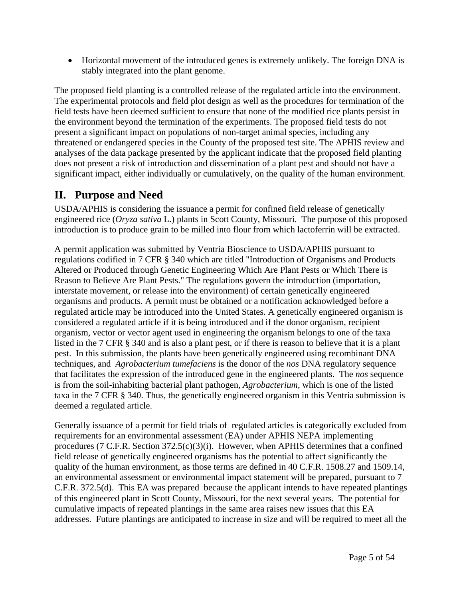• Horizontal movement of the introduced genes is extremely unlikely. The foreign DNA is stably integrated into the plant genome.

The proposed field planting is a controlled release of the regulated article into the environment. The experimental protocols and field plot design as well as the procedures for termination of the field tests have been deemed sufficient to ensure that none of the modified rice plants persist in the environment beyond the termination of the experiments. The proposed field tests do not present a significant impact on populations of non-target animal species, including any threatened or endangered species in the County of the proposed test site. The APHIS review and analyses of the data package presented by the applicant indicate that the proposed field planting does not present a risk of introduction and dissemination of a plant pest and should not have a significant impact, either individually or cumulatively, on the quality of the human environment.

# **II. Purpose and Need**

USDA/APHIS is considering the issuance a permit for confined field release of genetically engineered rice (*Oryza sativa* L.) plants in Scott County, Missouri. The purpose of this proposed introduction is to produce grain to be milled into flour from which lactoferrin will be extracted.

A permit application was submitted by Ventria Bioscience to USDA/APHIS pursuant to regulations codified in 7 CFR § 340 which are titled "Introduction of Organisms and Products Altered or Produced through Genetic Engineering Which Are Plant Pests or Which There is Reason to Believe Are Plant Pests." The regulations govern the introduction (importation, interstate movement, or release into the environment) of certain genetically engineered organisms and products. A permit must be obtained or a notification acknowledged before a regulated article may be introduced into the United States. A genetically engineered organism is considered a regulated article if it is being introduced and if the donor organism, recipient organism, vector or vector agent used in engineering the organism belongs to one of the taxa listed in the 7 CFR § 340 and is also a plant pest, or if there is reason to believe that it is a plant pest. In this submission, the plants have been genetically engineered using recombinant DNA techniques, and *Agrobacterium tumefaciens* is the donor of the *nos* DNA regulatory sequence that facilitates the expression of the introduced gene in the engineered plants. The *nos* sequence is from the soil-inhabiting bacterial plant pathogen, *Agrobacterium*, which is one of the listed taxa in the 7 CFR § 340. Thus, the genetically engineered organism in this Ventria submission is deemed a regulated article.

Generally issuance of a permit for field trials of regulated articles is categorically excluded from requirements for an environmental assessment (EA) under APHIS NEPA implementing procedures (7 C.F.R. Section 372.5(c)(3)(i). However, when APHIS determines that a confined field release of genetically engineered organisms has the potential to affect significantly the quality of the human environment, as those terms are defined in 40 C.F.R. 1508.27 and 1509.14, an environmental assessment or environmental impact statement will be prepared, pursuant to 7 C.F.R. 372.5(d). This EA was prepared because the applicant intends to have repeated plantings of this engineered plant in Scott County, Missouri, for the next several years. The potential for cumulative impacts of repeated plantings in the same area raises new issues that this EA addresses. Future plantings are anticipated to increase in size and will be required to meet all the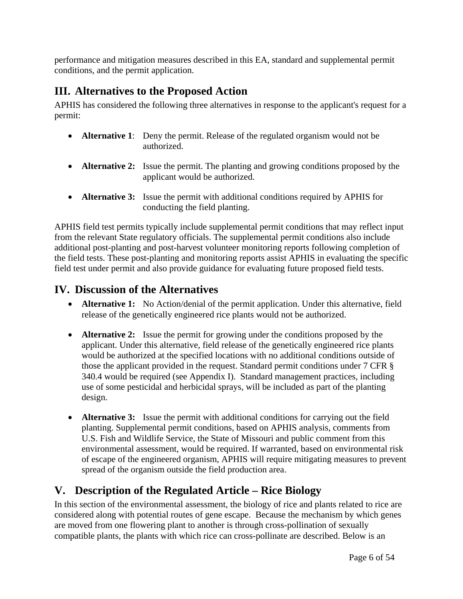performance and mitigation measures described in this EA, standard and supplemental permit conditions, and the permit application.

# **III. Alternatives to the Proposed Action**

APHIS has considered the following three alternatives in response to the applicant's request for a permit:

- **Alternative 1:** Deny the permit. Release of the regulated organism would not be authorized.
- **Alternative 2:** Issue the permit. The planting and growing conditions proposed by the applicant would be authorized.
- **Alternative 3:** Issue the permit with additional conditions required by APHIS for conducting the field planting.

APHIS field test permits typically include supplemental permit conditions that may reflect input from the relevant State regulatory officials. The supplemental permit conditions also include additional post-planting and post-harvest volunteer monitoring reports following completion of the field tests. These post-planting and monitoring reports assist APHIS in evaluating the specific field test under permit and also provide guidance for evaluating future proposed field tests.

# **IV. Discussion of the Alternatives**

- **Alternative 1:** No Action/denial of the permit application. Under this alternative, field release of the genetically engineered rice plants would not be authorized.
- **Alternative 2:** Issue the permit for growing under the conditions proposed by the applicant. Under this alternative, field release of the genetically engineered rice plants would be authorized at the specified locations with no additional conditions outside of those the applicant provided in the request. Standard permit conditions under 7 CFR § 340.4 would be required (see Appendix I). Standard management practices, including use of some pesticidal and herbicidal sprays, will be included as part of the planting design.
- **Alternative 3:** Issue the permit with additional conditions for carrying out the field planting. Supplemental permit conditions, based on APHIS analysis, comments from U.S. Fish and Wildlife Service, the State of Missouri and public comment from this environmental assessment, would be required. If warranted, based on environmental risk of escape of the engineered organism, APHIS will require mitigating measures to prevent spread of the organism outside the field production area.

# **V. Description of the Regulated Article – Rice Biology**

In this section of the environmental assessment, the biology of rice and plants related to rice are considered along with potential routes of gene escape. Because the mechanism by which genes are moved from one flowering plant to another is through cross-pollination of sexually compatible plants, the plants with which rice can cross-pollinate are described. Below is an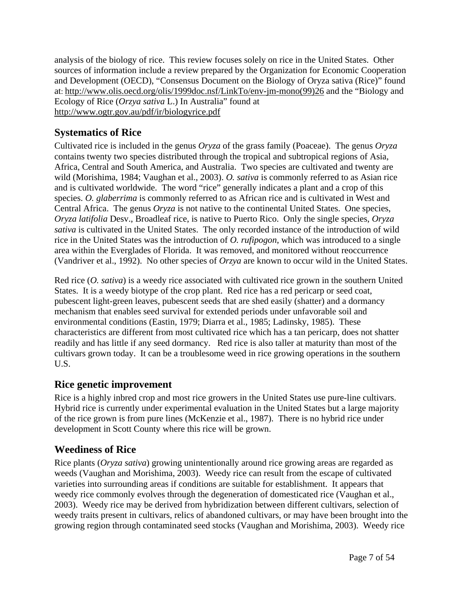analysis of the biology of rice. This review focuses solely on rice in the United States. Other sources of information include a review prepared by the Organization for Economic Cooperation and Development (OECD), "Consensus Document on the Biology of Oryza sativa (Rice)" found at: http://www.olis.oecd.org/olis/1999doc.nsf/LinkTo/env-jm-mono(99)26 and the "Biology and Ecology of Rice (*Orzya sativa* L.) In Australia" found at http://www.ogtr.gov.au/pdf/ir/biologyrice.pdf

# **Systematics of Rice**

Cultivated rice is included in the genus *Oryza* of the grass family (Poaceae). The genus *Oryza* contains twenty two species distributed through the tropical and subtropical regions of Asia, Africa, Central and South America, and Australia. Two species are cultivated and twenty are wild (Morishima, 1984; Vaughan et al., 2003). *O. sativa* is commonly referred to as Asian rice and is cultivated worldwide. The word "rice" generally indicates a plant and a crop of this species. *O. glaberrima* is commonly referred to as African rice and is cultivated in West and Central Africa. The genus *Oryza* is not native to the continental United States. One species, *Oryza latifolia* Desv., Broadleaf rice, is native to Puerto Rico. Only the single species, *Oryza sativa* is cultivated in the United States. The only recorded instance of the introduction of wild rice in the United States was the introduction of *O. rufipogon*, which was introduced to a single area within the Everglades of Florida. It was removed, and monitored without reoccurrence (Vandriver et al., 1992). No other species of *Orzya* are known to occur wild in the United States.

Red rice (*O. sativa*) is a weedy rice associated with cultivated rice grown in the southern United States. It is a weedy biotype of the crop plant. Red rice has a red pericarp or seed coat, pubescent light-green leaves, pubescent seeds that are shed easily (shatter) and a dormancy mechanism that enables seed survival for extended periods under unfavorable soil and environmental conditions (Eastin, 1979; Diarra et al., 1985; Ladinsky, 1985). These characteristics are different from most cultivated rice which has a tan pericarp, does not shatter readily and has little if any seed dormancy. Red rice is also taller at maturity than most of the cultivars grown today. It can be a troublesome weed in rice growing operations in the southern U.S.

# **Rice genetic improvement**

Rice is a highly inbred crop and most rice growers in the United States use pure-line cultivars. Hybrid rice is currently under experimental evaluation in the United States but a large majority of the rice grown is from pure lines (McKenzie et al., 1987). There is no hybrid rice under development in Scott County where this rice will be grown.

# **Weediness of Rice**

Rice plants (*Oryza sativa*) growing unintentionally around rice growing areas are regarded as weeds (Vaughan and Morishima, 2003). Weedy rice can result from the escape of cultivated varieties into surrounding areas if conditions are suitable for establishment. It appears that weedy rice commonly evolves through the degeneration of domesticated rice (Vaughan et al., 2003). Weedy rice may be derived from hybridization between different cultivars, selection of weedy traits present in cultivars, relics of abandoned cultivars, or may have been brought into the growing region through contaminated seed stocks (Vaughan and Morishima, 2003). Weedy rice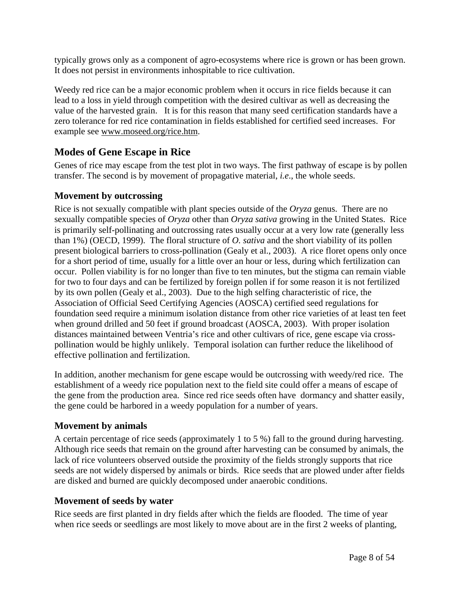typically grows only as a component of agro-ecosystems where rice is grown or has been grown. It does not persist in environments inhospitable to rice cultivation.

Weedy red rice can be a major economic problem when it occurs in rice fields because it can lead to a loss in yield through competition with the desired cultivar as well as decreasing the value of the harvested grain. It is for this reason that many seed certification standards have a zero tolerance for red rice contamination in fields established for certified seed increases. For example see www.moseed.org/rice.htm.

### **Modes of Gene Escape in Rice**

Genes of rice may escape from the test plot in two ways. The first pathway of escape is by pollen transfer. The second is by movement of propagative material, *i.e*., the whole seeds.

### **Movement by outcrossing**

Rice is not sexually compatible with plant species outside of the *Oryza* genus. There are no sexually compatible species of *Oryza* other than *Oryza sativa* growing in the United States. Rice is primarily self-pollinating and outcrossing rates usually occur at a very low rate (generally less than 1%) (OECD, 1999). The floral structure of *O. sativa* and the short viability of its pollen present biological barriers to cross-pollination (Gealy et al., 2003). A rice floret opens only once for a short period of time, usually for a little over an hour or less, during which fertilization can occur. Pollen viability is for no longer than five to ten minutes, but the stigma can remain viable for two to four days and can be fertilized by foreign pollen if for some reason it is not fertilized by its own pollen (Gealy et al., 2003). Due to the high selfing characteristic of rice, the Association of Official Seed Certifying Agencies (AOSCA) certified seed regulations for foundation seed require a minimum isolation distance from other rice varieties of at least ten feet when ground drilled and 50 feet if ground broadcast (AOSCA, 2003). With proper isolation distances maintained between Ventria's rice and other cultivars of rice, gene escape via crosspollination would be highly unlikely. Temporal isolation can further reduce the likelihood of effective pollination and fertilization.

In addition, another mechanism for gene escape would be outcrossing with weedy/red rice. The establishment of a weedy rice population next to the field site could offer a means of escape of the gene from the production area. Since red rice seeds often have dormancy and shatter easily, the gene could be harbored in a weedy population for a number of years.

### **Movement by animals**

A certain percentage of rice seeds (approximately 1 to 5 %) fall to the ground during harvesting. Although rice seeds that remain on the ground after harvesting can be consumed by animals, the lack of rice volunteers observed outside the proximity of the fields strongly supports that rice seeds are not widely dispersed by animals or birds. Rice seeds that are plowed under after fields are disked and burned are quickly decomposed under anaerobic conditions.

### **Movement of seeds by water**

Rice seeds are first planted in dry fields after which the fields are flooded. The time of year when rice seeds or seedlings are most likely to move about are in the first 2 weeks of planting,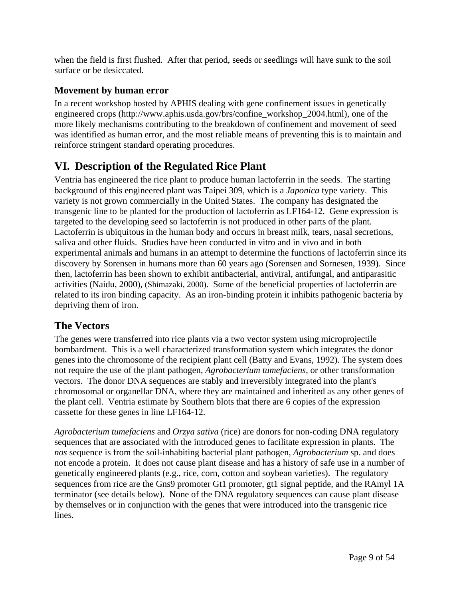when the field is first flushed. After that period, seeds or seedlings will have sunk to the soil surface or be desiccated.

# **Movement by human error**

In a recent workshop hosted by APHIS dealing with gene confinement issues in genetically engineered crops (http://www.aphis.usda.gov/brs/confine\_workshop\_2004.html), one of the more likely mechanisms contributing to the breakdown of confinement and movement of seed was identified as human error, and the most reliable means of preventing this is to maintain and reinforce stringent standard operating procedures.

# **VI. Description of the Regulated Rice Plant**

Ventria has engineered the rice plant to produce human lactoferrin in the seeds. The starting background of this engineered plant was Taipei 309, which is a *Japonica* type variety. This variety is not grown commercially in the United States. The company has designated the transgenic line to be planted for the production of lactoferrin as LF164-12. Gene expression is targeted to the developing seed so lactoferrin is not produced in other parts of the plant. Lactoferrin is ubiquitous in the human body and occurs in breast milk, tears, nasal secretions, saliva and other fluids. Studies have been conducted in vitro and in vivo and in both experimental animals and humans in an attempt to determine the functions of lactoferrin since its discovery by Sorensen in humans more than 60 years ago (Sorensen and Sornesen, 1939). Since then, lactoferrin has been shown to exhibit antibacterial, antiviral, antifungal, and antiparasitic activities (Naidu, 2000), (Shimazaki, 2000). Some of the beneficial properties of lactoferrin are related to its iron binding capacity. As an iron-binding protein it inhibits pathogenic bacteria by depriving them of iron.

# **The Vectors**

The genes were transferred into rice plants via a two vector system using microprojectile bombardment. This is a well characterized transformation system which integrates the donor genes into the chromosome of the recipient plant cell (Batty and Evans, 1992). The system does not require the use of the plant pathogen, *Agrobacterium tumefaciens*, or other transformation vectors. The donor DNA sequences are stably and irreversibly integrated into the plant's chromosomal or organellar DNA, where they are maintained and inherited as any other genes of the plant cell. Ventria estimate by Southern blots that there are 6 copies of the expression cassette for these genes in line LF164-12.

*Agrobacterium tumefaciens* and *Orzya sativa* (rice) are donors for non-coding DNA regulatory sequences that are associated with the introduced genes to facilitate expression in plants. The *nos* sequence is from the soil-inhabiting bacterial plant pathogen, *Agrobacterium* sp. and does not encode a protein. It does not cause plant disease and has a history of safe use in a number of genetically engineered plants (e.g., rice, corn, cotton and soybean varieties). The regulatory sequences from rice are the Gns9 promoter Gt1 promoter, gt1 signal peptide, and the RAmyl 1A terminator (see details below). None of the DNA regulatory sequences can cause plant disease by themselves or in conjunction with the genes that were introduced into the transgenic rice lines.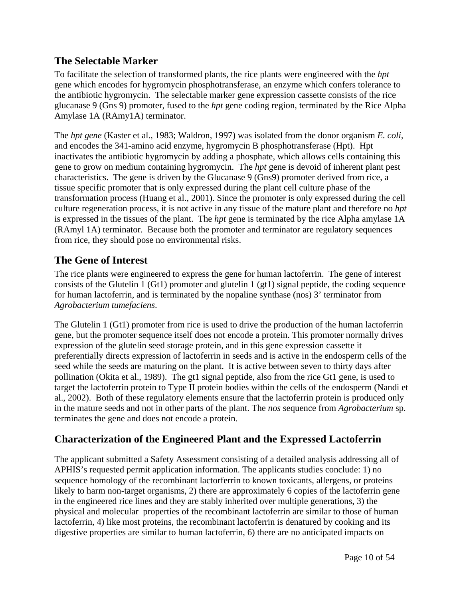# **The Selectable Marker**

To facilitate the selection of transformed plants, the rice plants were engineered with the *hpt* gene which encodes for hygromycin phosphotransferase, an enzyme which confers tolerance to the antibiotic hygromycin. The selectable marker gene expression cassette consists of the rice glucanase 9 (Gns 9) promoter, fused to the *hpt* gene coding region, terminated by the Rice Alpha Amylase 1A (RAmy1A) terminator.

The *hpt gene* (Kaster et al., 1983; Waldron, 1997) was isolated from the donor organism *E. coli,* and encodes the 341-amino acid enzyme, hygromycin B phosphotransferase (Hpt). Hpt inactivates the antibiotic hygromycin by adding a phosphate, which allows cells containing this gene to grow on medium containing hygromycin. The *hpt* gene is devoid of inherent plant pest characteristics. The gene is driven by the Glucanase 9 (Gns9) promoter derived from rice, a tissue specific promoter that is only expressed during the plant cell culture phase of the transformation process (Huang et al., 2001). Since the promoter is only expressed during the cell culture regeneration process, it is not active in any tissue of the mature plant and therefore no *hpt* is expressed in the tissues of the plant. The *hpt* gene is terminated by the rice Alpha amylase 1A (RAmyl 1A) terminator. Because both the promoter and terminator are regulatory sequences from rice, they should pose no environmental risks.

# **The Gene of Interest**

The rice plants were engineered to express the gene for human lactoferrin. The gene of interest consists of the Glutelin 1 (Gt1) promoter and glutelin 1 (gt1) signal peptide, the coding sequence for human lactoferrin, and is terminated by the nopaline synthase (nos) 3' terminator from *Agrobacterium tumefaciens*.

The Glutelin 1 (Gt1) promoter from rice is used to drive the production of the human lactoferrin gene, but the promoter sequence itself does not encode a protein. This promoter normally drives expression of the glutelin seed storage protein, and in this gene expression cassette it preferentially directs expression of lactoferrin in seeds and is active in the endosperm cells of the seed while the seeds are maturing on the plant. It is active between seven to thirty days after pollination (Okita et al., 1989). The gt1 signal peptide, also from the rice Gt1 gene, is used to target the lactoferrin protein to Type II protein bodies within the cells of the endosperm (Nandi et al., 2002). Both of these regulatory elements ensure that the lactoferrin protein is produced only in the mature seeds and not in other parts of the plant. The *nos* sequence from *Agrobacterium* sp. terminates the gene and does not encode a protein.

# **Characterization of the Engineered Plant and the Expressed Lactoferrin**

The applicant submitted a Safety Assessment consisting of a detailed analysis addressing all of APHIS's requested permit application information. The applicants studies conclude: 1) no sequence homology of the recombinant lactorferrin to known toxicants, allergens, or proteins likely to harm non-target organisms, 2) there are approximately 6 copies of the lactoferrin gene in the engineered rice lines and they are stably inherited over multiple generations, 3) the physical and molecular properties of the recombinant lactoferrin are similar to those of human lactoferrin, 4) like most proteins, the recombinant lactoferrin is denatured by cooking and its digestive properties are similar to human lactoferrin, 6) there are no anticipated impacts on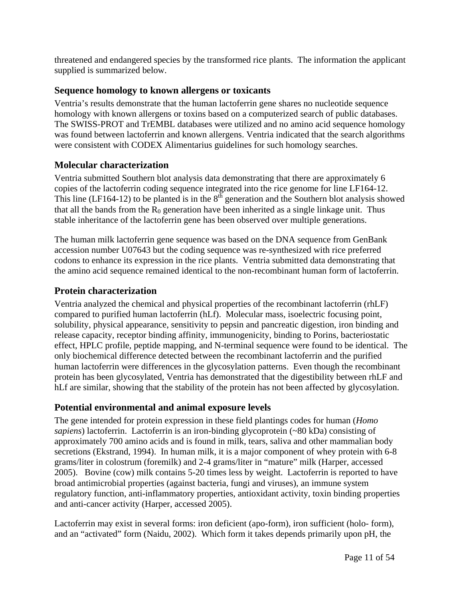threatened and endangered species by the transformed rice plants. The information the applicant supplied is summarized below.

### **Sequence homology to known allergens or toxicants**

Ventria's results demonstrate that the human lactoferrin gene shares no nucleotide sequence homology with known allergens or toxins based on a computerized search of public databases. The SWISS-PROT and TrEMBL databases were utilized and no amino acid sequence homology was found between lactoferrin and known allergens. Ventria indicated that the search algorithms were consistent with CODEX Alimentarius guidelines for such homology searches.

#### **Molecular characterization**

Ventria submitted Southern blot analysis data demonstrating that there are approximately 6 copies of the lactoferrin coding sequence integrated into the rice genome for line LF164-12. This line (LF164-12) to be planted is in the  $8<sup>th</sup>$  generation and the Southern blot analysis showed that all the bands from the  $R_0$  generation have been inherited as a single linkage unit. Thus stable inheritance of the lactoferrin gene has been observed over multiple generations.

The human milk lactoferrin gene sequence was based on the DNA sequence from GenBank accession number U07643 but the coding sequence was re-synthesized with rice preferred codons to enhance its expression in the rice plants. Ventria submitted data demonstrating that the amino acid sequence remained identical to the non-recombinant human form of lactoferrin.

### **Protein characterization**

Ventria analyzed the chemical and physical properties of the recombinant lactoferrin (rhLF) compared to purified human lactoferrin (hLf). Molecular mass, isoelectric focusing point, solubility, physical appearance, sensitivity to pepsin and pancreatic digestion, iron binding and release capacity, receptor binding affinity, immunogenicity, binding to Porins, bacteriostatic effect, HPLC profile, peptide mapping, and N-terminal sequence were found to be identical. The only biochemical difference detected between the recombinant lactoferrin and the purified human lactoferrin were differences in the glycosylation patterns. Even though the recombinant protein has been glycosylated, Ventria has demonstrated that the digestibility between rhLF and hLf are similar, showing that the stability of the protein has not been affected by glycosylation.

#### **Potential environmental and animal exposure levels**

The gene intended for protein expression in these field plantings codes for human (*Homo sapiens*) lactoferrin. Lactoferrin is an iron-binding glycoprotein (~80 kDa) consisting of approximately 700 amino acids and is found in milk, tears, saliva and other mammalian body secretions (Ekstrand, 1994). In human milk, it is a major component of whey protein with 6-8 grams/liter in colostrum (foremilk) and 2-4 grams/liter in "mature" milk (Harper, accessed 2005). Bovine (cow) milk contains 5-20 times less by weight. Lactoferrin is reported to have broad antimicrobial properties (against bacteria, fungi and viruses), an immune system regulatory function, anti-inflammatory properties, antioxidant activity, toxin binding properties and anti-cancer activity (Harper, accessed 2005).

Lactoferrin may exist in several forms: iron deficient (apo-form), iron sufficient (holo- form), and an "activated" form (Naidu, 2002). Which form it takes depends primarily upon pH, the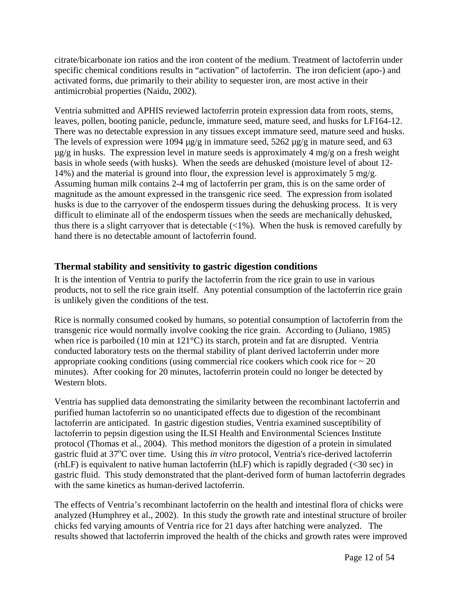citrate/bicarbonate ion ratios and the iron content of the medium. Treatment of lactoferrin under specific chemical conditions results in "activation" of lactoferrin. The iron deficient (apo-) and activated forms, due primarily to their ability to sequester iron, are most active in their antimicrobial properties (Naidu, 2002).

Ventria submitted and APHIS reviewed lactoferrin protein expression data from roots, stems, leaves, pollen, booting panicle, peduncle, immature seed, mature seed, and husks for LF164-12. There was no detectable expression in any tissues except immature seed, mature seed and husks. The levels of expression were 1094  $\mu$ g/g in immature seed, 5262  $\mu$ g/g in mature seed, and 63  $\mu$ g/g in husks. The expression level in mature seeds is approximately 4 mg/g on a fresh weight basis in whole seeds (with husks). When the seeds are dehusked (moisture level of about 12- 14%) and the material is ground into flour, the expression level is approximately 5 mg/g. Assuming human milk contains 2-4 mg of lactoferrin per gram, this is on the same order of magnitude as the amount expressed in the transgenic rice seed. The expression from isolated husks is due to the carryover of the endosperm tissues during the dehusking process. It is very difficult to eliminate all of the endosperm tissues when the seeds are mechanically dehusked, thus there is a slight carryover that is detectable  $\langle 1\% \rangle$ . When the husk is removed carefully by hand there is no detectable amount of lactoferrin found.

### **Thermal stability and sensitivity to gastric digestion conditions**

It is the intention of Ventria to purify the lactoferrin from the rice grain to use in various products, not to sell the rice grain itself. Any potential consumption of the lactoferrin rice grain is unlikely given the conditions of the test.

Rice is normally consumed cooked by humans, so potential consumption of lactoferrin from the transgenic rice would normally involve cooking the rice grain. According to (Juliano, 1985) when rice is parboiled (10 min at 121<sup>o</sup>C) its starch, protein and fat are disrupted. Ventria conducted laboratory tests on the thermal stability of plant derived lactoferrin under more appropriate cooking conditions (using commercial rice cookers which cook rice for  $\sim 20$ ) minutes). After cooking for 20 minutes, lactoferrin protein could no longer be detected by Western blots.

Ventria has supplied data demonstrating the similarity between the recombinant lactoferrin and purified human lactoferrin so no unanticipated effects due to digestion of the recombinant lactoferrin are anticipated. In gastric digestion studies, Ventria examined susceptibility of lactoferrin to pepsin digestion using the ILSI Health and Environmental Sciences Institute protocol (Thomas et al., 2004). This method monitors the digestion of a protein in simulated extric fluid at 37<sup>o</sup>C over time. Using this *in vitro* protocol, Ventria's rice-derived lactoferrin (rhLF) is equivalent to native human lactoferrin (hLF) which is rapidly degraded  $\langle$  <30 sec) in gastric fluid. This study demonstrated that the plant-derived form of human lactoferrin degrades with the same kinetics as human-derived lactoferrin.

The effects of Ventria's recombinant lactoferrin on the health and intestinal flora of chicks were analyzed (Humphrey et al., 2002). In this study the growth rate and intestinal structure of broiler chicks fed varying amounts of Ventria rice for 21 days after hatching were analyzed. The results showed that lactoferrin improved the health of the chicks and growth rates were improved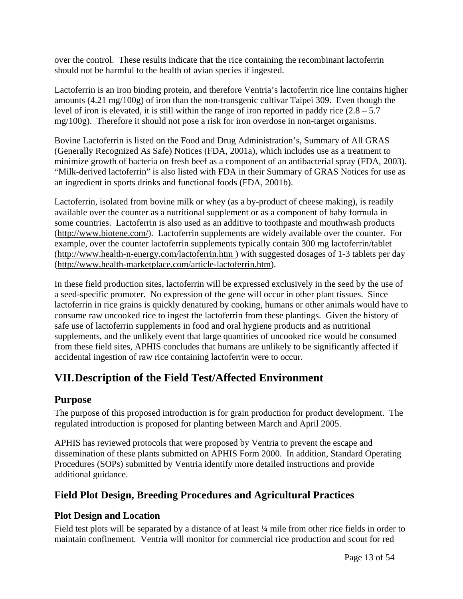over the control. These results indicate that the rice containing the recombinant lactoferrin should not be harmful to the health of avian species if ingested.

Lactoferrin is an iron binding protein, and therefore Ventria's lactoferrin rice line contains higher amounts (4.21 mg/100g) of iron than the non-transgenic cultivar Taipei 309. Even though the level of iron is elevated, it is still within the range of iron reported in paddy rice  $(2.8 - 5.7)$ mg/100g). Therefore it should not pose a risk for iron overdose in non-target organisms.

Bovine Lactoferrin is listed on the Food and Drug Administration's, Summary of All GRAS (Generally Recognized As Safe) Notices (FDA, 2001a), which includes use as a treatment to minimize growth of bacteria on fresh beef as a component of an antibacterial spray (FDA, 2003). "Milk-derived lactoferrin" is also listed with FDA in their Summary of GRAS Notices for use as an ingredient in sports drinks and functional foods (FDA, 2001b).

Lactoferrin, isolated from bovine milk or whey (as a by-product of cheese making), is readily available over the counter as a nutritional supplement or as a component of baby formula in some countries. Lactoferrin is also used as an additive to toothpaste and mouthwash products (http://www.biotene.com/). Lactoferrin supplements are widely available over the counter. For example, over the counter lactoferrin supplements typically contain 300 mg lactoferrin/tablet (http://www.health-n-energy.com/lactoferrin.htm ) with suggested dosages of 1-3 tablets per day (http://www.health-marketplace.com/article-lactoferrin.htm).

In these field production sites, lactoferrin will be expressed exclusively in the seed by the use of a seed-specific promoter. No expression of the gene will occur in other plant tissues. Since lactoferrin in rice grains is quickly denatured by cooking, humans or other animals would have to consume raw uncooked rice to ingest the lactoferrin from these plantings. Given the history of safe use of lactoferrin supplements in food and oral hygiene products and as nutritional supplements, and the unlikely event that large quantities of uncooked rice would be consumed from these field sites, APHIS concludes that humans are unlikely to be significantly affected if accidental ingestion of raw rice containing lactoferrin were to occur.

# **VII. Description of the Field Test/Affected Environment**

### **Purpose**

The purpose of this proposed introduction is for grain production for product development. The regulated introduction is proposed for planting between March and April 2005.

APHIS has reviewed protocols that were proposed by Ventria to prevent the escape and dissemination of these plants submitted on APHIS Form 2000. In addition, Standard Operating Procedures (SOPs) submitted by Ventria identify more detailed instructions and provide additional guidance.

# **Field Plot Design, Breeding Procedures and Agricultural Practices**

# **Plot Design and Location**

Field test plots will be separated by a distance of at least  $\frac{1}{4}$  mile from other rice fields in order to maintain confinement. Ventria will monitor for commercial rice production and scout for red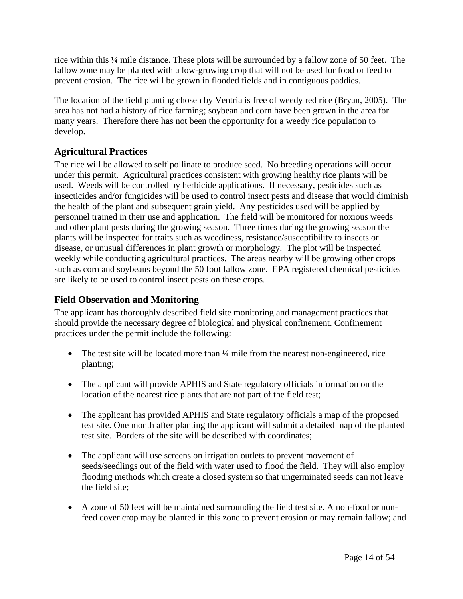rice within this ¼ mile distance. These plots will be surrounded by a fallow zone of 50 feet. The fallow zone may be planted with a low-growing crop that will not be used for food or feed to prevent erosion. The rice will be grown in flooded fields and in contiguous paddies.

The location of the field planting chosen by Ventria is free of weedy red rice (Bryan, 2005). The area has not had a history of rice farming; soybean and corn have been grown in the area for many years. Therefore there has not been the opportunity for a weedy rice population to develop.

# **Agricultural Practices**

The rice will be allowed to self pollinate to produce seed. No breeding operations will occur under this permit. Agricultural practices consistent with growing healthy rice plants will be used. Weeds will be controlled by herbicide applications. If necessary, pesticides such as insecticides and/or fungicides will be used to control insect pests and disease that would diminish the health of the plant and subsequent grain yield. Any pesticides used will be applied by personnel trained in their use and application. The field will be monitored for noxious weeds and other plant pests during the growing season. Three times during the growing season the plants will be inspected for traits such as weediness, resistance/susceptibility to insects or disease, or unusual differences in plant growth or morphology. The plot will be inspected weekly while conducting agricultural practices. The areas nearby will be growing other crops such as corn and soybeans beyond the 50 foot fallow zone. EPA registered chemical pesticides are likely to be used to control insect pests on these crops.

## **Field Observation and Monitoring**

The applicant has thoroughly described field site monitoring and management practices that should provide the necessary degree of biological and physical confinement. Confinement practices under the permit include the following:

- The test site will be located more than  $\frac{1}{4}$  mile from the nearest non-engineered, rice planting;
- The applicant will provide APHIS and State regulatory officials information on the location of the nearest rice plants that are not part of the field test;
- The applicant has provided APHIS and State regulatory officials a map of the proposed test site. One month after planting the applicant will submit a detailed map of the planted test site. Borders of the site will be described with coordinates;
- The applicant will use screens on irrigation outlets to prevent movement of seeds/seedlings out of the field with water used to flood the field. They will also employ flooding methods which create a closed system so that ungerminated seeds can not leave the field site;
- A zone of 50 feet will be maintained surrounding the field test site. A non-food or nonfeed cover crop may be planted in this zone to prevent erosion or may remain fallow; and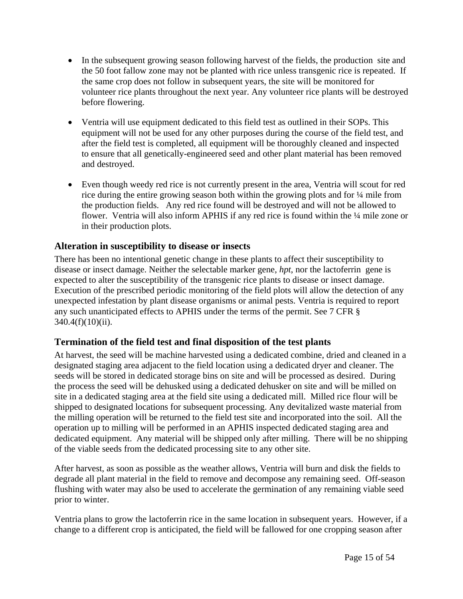- In the subsequent growing season following harvest of the fields, the production site and the 50 foot fallow zone may not be planted with rice unless transgenic rice is repeated. If the same crop does not follow in subsequent years, the site will be monitored for volunteer rice plants throughout the next year. Any volunteer rice plants will be destroyed before flowering.
- Ventria will use equipment dedicated to this field test as outlined in their SOPs. This equipment will not be used for any other purposes during the course of the field test, and after the field test is completed, all equipment will be thoroughly cleaned and inspected to ensure that all genetically-engineered seed and other plant material has been removed and destroyed.
- Even though weedy red rice is not currently present in the area, Ventria will scout for red rice during the entire growing season both within the growing plots and for ¼ mile from the production fields. Any red rice found will be destroyed and will not be allowed to flower. Ventria will also inform APHIS if any red rice is found within the ¼ mile zone or in their production plots.

### **Alteration in susceptibility to disease or insects**

There has been no intentional genetic change in these plants to affect their susceptibility to disease or insect damage. Neither the selectable marker gene, *hpt*, nor the lactoferrin gene is expected to alter the susceptibility of the transgenic rice plants to disease or insect damage. Execution of the prescribed periodic monitoring of the field plots will allow the detection of any unexpected infestation by plant disease organisms or animal pests. Ventria is required to report any such unanticipated effects to APHIS under the terms of the permit. See 7 CFR § 340.4(f)(10)(ii).

# **Termination of the field test and final disposition of the test plants**

At harvest, the seed will be machine harvested using a dedicated combine, dried and cleaned in a designated staging area adjacent to the field location using a dedicated dryer and cleaner. The seeds will be stored in dedicated storage bins on site and will be processed as desired. During the process the seed will be dehusked using a dedicated dehusker on site and will be milled on site in a dedicated staging area at the field site using a dedicated mill. Milled rice flour will be shipped to designated locations for subsequent processing. Any devitalized waste material from the milling operation will be returned to the field test site and incorporated into the soil. All the operation up to milling will be performed in an APHIS inspected dedicated staging area and dedicated equipment. Any material will be shipped only after milling. There will be no shipping of the viable seeds from the dedicated processing site to any other site.

After harvest, as soon as possible as the weather allows, Ventria will burn and disk the fields to degrade all plant material in the field to remove and decompose any remaining seed. Off-season flushing with water may also be used to accelerate the germination of any remaining viable seed prior to winter.

Ventria plans to grow the lactoferrin rice in the same location in subsequent years. However, if a change to a different crop is anticipated, the field will be fallowed for one cropping season after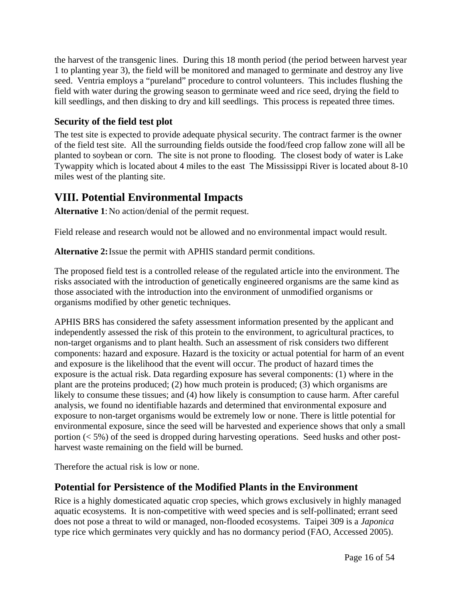the harvest of the transgenic lines. During this 18 month period (the period between harvest year 1 to planting year 3), the field will be monitored and managed to germinate and destroy any live seed. Ventria employs a "pureland" procedure to control volunteers. This includes flushing the field with water during the growing season to germinate weed and rice seed, drying the field to kill seedlings, and then disking to dry and kill seedlings. This process is repeated three times.

## **Security of the field test plot**

The test site is expected to provide adequate physical security. The contract farmer is the owner of the field test site. All the surrounding fields outside the food/feed crop fallow zone will all be planted to soybean or corn. The site is not prone to flooding. The closest body of water is Lake Tywappity which is located about 4 miles to the east The Mississippi River is located about 8-10 miles west of the planting site.

# **VIII. Potential Environmental Impacts**

**Alternative 1**: No action/denial of the permit request.

Field release and research would not be allowed and no environmental impact would result.

**Alternative 2:** Issue the permit with APHIS standard permit conditions.

The proposed field test is a controlled release of the regulated article into the environment. The risks associated with the introduction of genetically engineered organisms are the same kind as those associated with the introduction into the environment of unmodified organisms or organisms modified by other genetic techniques.

APHIS BRS has considered the safety assessment information presented by the applicant and independently assessed the risk of this protein to the environment, to agricultural practices, to non-target organisms and to plant health. Such an assessment of risk considers two different components: hazard and exposure. Hazard is the toxicity or actual potential for harm of an event and exposure is the likelihood that the event will occur. The product of hazard times the exposure is the actual risk. Data regarding exposure has several components: (1) where in the plant are the proteins produced; (2) how much protein is produced; (3) which organisms are likely to consume these tissues; and (4) how likely is consumption to cause harm. After careful analysis, we found no identifiable hazards and determined that environmental exposure and exposure to non-target organisms would be extremely low or none. There is little potential for environmental exposure, since the seed will be harvested and experience shows that only a small portion (< 5%) of the seed is dropped during harvesting operations. Seed husks and other postharvest waste remaining on the field will be burned.

Therefore the actual risk is low or none.

# **Potential for Persistence of the Modified Plants in the Environment**

Rice is a highly domesticated aquatic crop species, which grows exclusively in highly managed aquatic ecosystems. It is non-competitive with weed species and is self-pollinated; errant seed does not pose a threat to wild or managed, non-flooded ecosystems. Taipei 309 is a *Japonica*  type rice which germinates very quickly and has no dormancy period (FAO, Accessed 2005).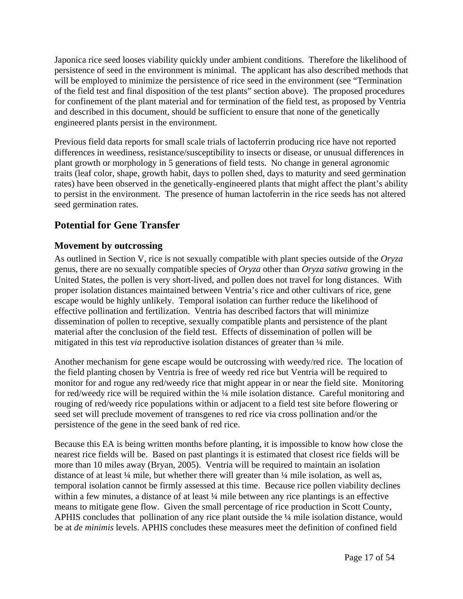Japonica rice seed looses viability quickly under ambient conditions. Therefore the likelihood of persistence of seed in the environment is minimal. The applicant has also described methods that will be employed to minimize the persistence of rice seed in the environment (see "Termination") of the field test and final disposition of the test plants" section above). The proposed procedures for confinement of the plant material and for termination of the field test, as proposed by Ventria and described in this document, should be sufficient to ensure that none of the genetically engineered plants persist in the environment.

Previous field data reports for small scale trials of lactoferrin producing rice have not reported differences in weediness, resistance/susceptibility to insects or disease, or unusual differences in plant growth or morphology in 5 generations of field tests. No change in general agronomic traits (leaf color, shape, growth habit, days to pollen shed, days to maturity and seed germination rates) have been observed in the genetically-engineered plants that might affect the plant's ability to persist in the environment. The presence of human lactoferrin in the rice seeds has not altered seed germination rates.

# **Potential for Gene Transfer**

### **Movement by outcrossing**

As outlined in Section V, rice is not sexually compatible with plant species outside of the *Oryza*  genus, there are no sexually compatible species of *Oryza* other than *Oryza sativa* growing in the United States, the pollen is very short-lived, and pollen does not travel for long distances. With proper isolation distances maintained between Ventria's rice and other cultivars of rice, gene escape would be highly unlikely. Temporal isolation can further reduce the likelihood of effective pollination and fertilization. Ventria has described factors that will minimize dissemination of pollen to receptive, sexually compatible plants and persistence of the plant material after the conclusion of the field test. Effects of dissemination of pollen will be mitigated in this test *via* reproductive isolation distances of greater than ¼ mile.

Another mechanism for gene escape would be outcrossing with weedy/red rice. The location of the field planting chosen by Ventria is free of weedy red rice but Ventria will be required to monitor for and rogue any red/weedy rice that might appear in or near the field site. Monitoring for red/weedy rice will be required within the ¼ mile isolation distance. Careful monitoring and rouging of red/weedy rice populations within or adjacent to a field test site before flowering or seed set will preclude movement of transgenes to red rice via cross pollination and/or the persistence of the gene in the seed bank of red rice.

Because this EA is being written months before planting, it is impossible to know how close the nearest rice fields will be. Based on past plantings it is estimated that closest rice fields will be more than 10 miles away (Bryan, 2005). Ventria will be required to maintain an isolation distance of at least ¼ mile, but whether there will greater than ¼ mile isolation, as well as, temporal isolation cannot be firmly assessed at this time. Because rice pollen viability declines within a few minutes, a distance of at least  $\frac{1}{4}$  mile between any rice plantings is an effective means to mitigate gene flow. Given the small percentage of rice production in Scott County, APHIS concludes that pollination of any rice plant outside the ¼ mile isolation distance, would be at *de minimis* levels. APHIS concludes these measures meet the definition of confined field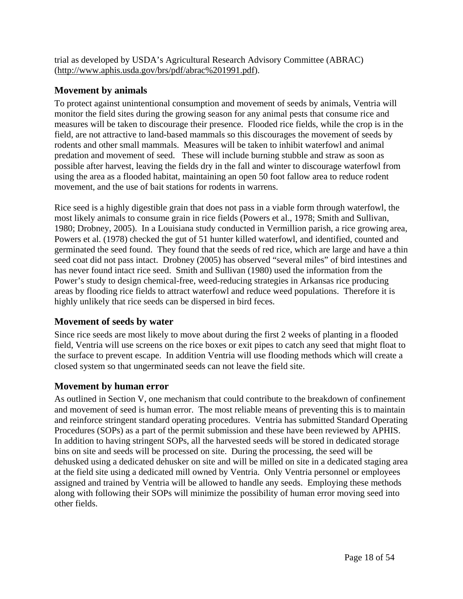trial as developed by USDA's Agricultural Research Advisory Committee (ABRAC) (http://www.aphis.usda.gov/brs/pdf/abrac%201991.pdf).

## **Movement by animals**

To protect against unintentional consumption and movement of seeds by animals, Ventria will monitor the field sites during the growing season for any animal pests that consume rice and measures will be taken to discourage their presence. Flooded rice fields, while the crop is in the field, are not attractive to land-based mammals so this discourages the movement of seeds by rodents and other small mammals. Measures will be taken to inhibit waterfowl and animal predation and movement of seed. These will include burning stubble and straw as soon as possible after harvest, leaving the fields dry in the fall and winter to discourage waterfowl from using the area as a flooded habitat, maintaining an open 50 foot fallow area to reduce rodent movement, and the use of bait stations for rodents in warrens.

Rice seed is a highly digestible grain that does not pass in a viable form through waterfowl, the most likely animals to consume grain in rice fields (Powers et al., 1978; Smith and Sullivan, 1980; Drobney, 2005). In a Louisiana study conducted in Vermillion parish, a rice growing area, Powers et al. (1978) checked the gut of 51 hunter killed waterfowl, and identified, counted and germinated the seed found. They found that the seeds of red rice, which are large and have a thin seed coat did not pass intact. Drobney (2005) has observed "several miles" of bird intestines and has never found intact rice seed. Smith and Sullivan (1980) used the information from the Power's study to design chemical-free, weed-reducing strategies in Arkansas rice producing areas by flooding rice fields to attract waterfowl and reduce weed populations. Therefore it is highly unlikely that rice seeds can be dispersed in bird feces.

### **Movement of seeds by water**

Since rice seeds are most likely to move about during the first 2 weeks of planting in a flooded field, Ventria will use screens on the rice boxes or exit pipes to catch any seed that might float to the surface to prevent escape. In addition Ventria will use flooding methods which will create a closed system so that ungerminated seeds can not leave the field site.

### **Movement by human error**

As outlined in Section V, one mechanism that could contribute to the breakdown of confinement and movement of seed is human error. The most reliable means of preventing this is to maintain and reinforce stringent standard operating procedures. Ventria has submitted Standard Operating Procedures (SOPs) as a part of the permit submission and these have been reviewed by APHIS. In addition to having stringent SOPs, all the harvested seeds will be stored in dedicated storage bins on site and seeds will be processed on site. During the processing, the seed will be dehusked using a dedicated dehusker on site and will be milled on site in a dedicated staging area at the field site using a dedicated mill owned by Ventria. Only Ventria personnel or employees assigned and trained by Ventria will be allowed to handle any seeds. Employing these methods along with following their SOPs will minimize the possibility of human error moving seed into other fields.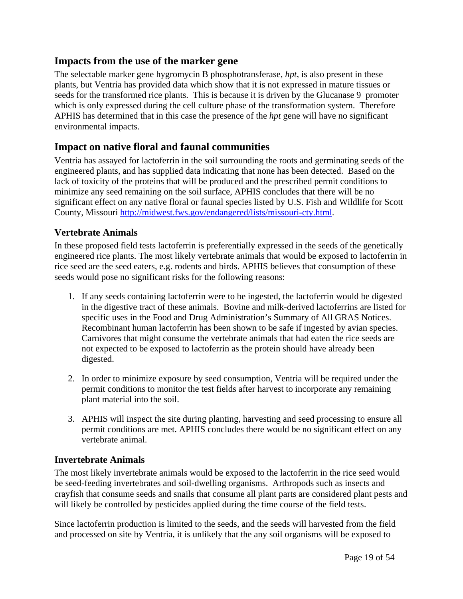### **Impacts from the use of the marker gene**

The selectable marker gene hygromycin B phosphotransferase, *hpt*, is also present in these plants, but Ventria has provided data which show that it is not expressed in mature tissues or seeds for the transformed rice plants. This is because it is driven by the Glucanase 9 promoter which is only expressed during the cell culture phase of the transformation system. Therefore APHIS has determined that in this case the presence of the *hpt* gene will have no significant environmental impacts.

# **Impact on native floral and faunal communities**

Ventria has assayed for lactoferrin in the soil surrounding the roots and germinating seeds of the engineered plants, and has supplied data indicating that none has been detected. Based on the lack of toxicity of the proteins that will be produced and the prescribed permit conditions to minimize any seed remaining on the soil surface, APHIS concludes that there will be no significant effect on any native floral or faunal species listed by U.S. Fish and Wildlife for Scott County, Missouri http://midwest.fws.gov/endangered/lists/missouri-cty.html.

#### **Vertebrate Animals**

In these proposed field tests lactoferrin is preferentially expressed in the seeds of the genetically engineered rice plants. The most likely vertebrate animals that would be exposed to lactoferrin in rice seed are the seed eaters, e.g. rodents and birds. APHIS believes that consumption of these seeds would pose no significant risks for the following reasons:

- 1. If any seeds containing lactoferrin were to be ingested, the lactoferrin would be digested in the digestive tract of these animals. Bovine and milk-derived lactoferrins are listed for specific uses in the Food and Drug Administration's Summary of All GRAS Notices. Recombinant human lactoferrin has been shown to be safe if ingested by avian species. Carnivores that might consume the vertebrate animals that had eaten the rice seeds are not expected to be exposed to lactoferrin as the protein should have already been digested.
- 2. In order to minimize exposure by seed consumption, Ventria will be required under the permit conditions to monitor the test fields after harvest to incorporate any remaining plant material into the soil.
- 3. APHIS will inspect the site during planting, harvesting and seed processing to ensure all permit conditions are met. APHIS concludes there would be no significant effect on any vertebrate animal.

#### **Invertebrate Animals**

The most likely invertebrate animals would be exposed to the lactoferrin in the rice seed would be seed-feeding invertebrates and soil-dwelling organisms. Arthropods such as insects and crayfish that consume seeds and snails that consume all plant parts are considered plant pests and will likely be controlled by pesticides applied during the time course of the field tests.

Since lactoferrin production is limited to the seeds, and the seeds will harvested from the field and processed on site by Ventria, it is unlikely that the any soil organisms will be exposed to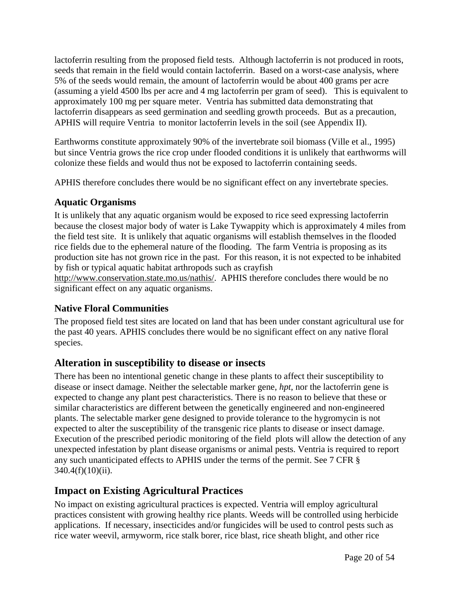lactoferrin resulting from the proposed field tests. Although lactoferrin is not produced in roots, seeds that remain in the field would contain lactoferrin. Based on a worst-case analysis, where 5% of the seeds would remain, the amount of lactoferrin would be about 400 grams per acre (assuming a yield 4500 lbs per acre and 4 mg lactoferrin per gram of seed). This is equivalent to approximately 100 mg per square meter. Ventria has submitted data demonstrating that lactoferrin disappears as seed germination and seedling growth proceeds. But as a precaution, APHIS will require Ventria to monitor lactoferrin levels in the soil (see Appendix II).

Earthworms constitute approximately 90% of the invertebrate soil biomass (Ville et al., 1995) but since Ventria grows the rice crop under flooded conditions it is unlikely that earthworms will colonize these fields and would thus not be exposed to lactoferrin containing seeds.

APHIS therefore concludes there would be no significant effect on any invertebrate species.

# **Aquatic Organisms**

It is unlikely that any aquatic organism would be exposed to rice seed expressing lactoferrin because the closest major body of water is Lake Tywappity which is approximately 4 miles from the field test site. It is unlikely that aquatic organisms will establish themselves in the flooded rice fields due to the ephemeral nature of the flooding. The farm Ventria is proposing as its production site has not grown rice in the past. For this reason, it is not expected to be inhabited by fish or typical aquatic habitat arthropods such as crayfish

http://www.conservation.state.mo.us/nathis/. APHIS therefore concludes there would be no significant effect on any aquatic organisms.

# **Native Floral Communities**

The proposed field test sites are located on land that has been under constant agricultural use for the past 40 years. APHIS concludes there would be no significant effect on any native floral species.

# **Alteration in susceptibility to disease or insects**

There has been no intentional genetic change in these plants to affect their susceptibility to disease or insect damage. Neither the selectable marker gene, *hpt*, nor the lactoferrin gene is expected to change any plant pest characteristics. There is no reason to believe that these or similar characteristics are different between the genetically engineered and non-engineered plants. The selectable marker gene designed to provide tolerance to the hygromycin is not expected to alter the susceptibility of the transgenic rice plants to disease or insect damage. Execution of the prescribed periodic monitoring of the field plots will allow the detection of any unexpected infestation by plant disease organisms or animal pests. Ventria is required to report any such unanticipated effects to APHIS under the terms of the permit. See 7 CFR § 340.4(f)(10)(ii).

# **Impact on Existing Agricultural Practices**

No impact on existing agricultural practices is expected. Ventria will employ agricultural practices consistent with growing healthy rice plants. Weeds will be controlled using herbicide applications. If necessary, insecticides and/or fungicides will be used to control pests such as rice water weevil, armyworm, rice stalk borer, rice blast, rice sheath blight, and other rice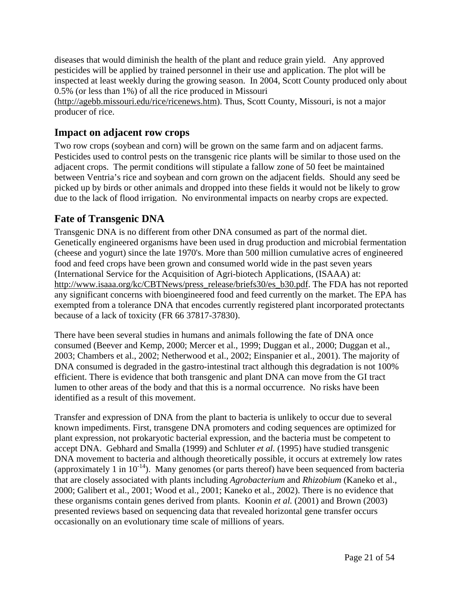diseases that would diminish the health of the plant and reduce grain yield. Any approved pesticides will be applied by trained personnel in their use and application. The plot will be inspected at least weekly during the growing season. In 2004, Scott County produced only about 0.5% (or less than 1%) of all the rice produced in Missouri

(http://agebb.missouri.edu/rice/ricenews.htm). Thus, Scott County, Missouri, is not a major producer of rice.

# **Impact on adjacent row crops**

Two row crops (soybean and corn) will be grown on the same farm and on adjacent farms. Pesticides used to control pests on the transgenic rice plants will be similar to those used on the adjacent crops. The permit conditions will stipulate a fallow zone of 50 feet be maintained between Ventria's rice and soybean and corn grown on the adjacent fields. Should any seed be picked up by birds or other animals and dropped into these fields it would not be likely to grow due to the lack of flood irrigation. No environmental impacts on nearby crops are expected.

# **Fate of Transgenic DNA**

Transgenic DNA is no different from other DNA consumed as part of the normal diet. Genetically engineered organisms have been used in drug production and microbial fermentation (cheese and yogurt) since the late 1970's. More than 500 million cumulative acres of engineered food and feed crops have been grown and consumed world wide in the past seven years (International Service for the Acquisition of Agri-biotech Applications, (ISAAA) at: http://www.isaaa.org/kc/CBTNews/press\_release/briefs30/es\_b30.pdf. The FDA has not reported any significant concerns with bioengineered food and feed currently on the market. The EPA has exempted from a tolerance DNA that encodes currently registered plant incorporated protectants because of a lack of toxicity (FR 66 37817-37830).

There have been several studies in humans and animals following the fate of DNA once consumed (Beever and Kemp, 2000; Mercer et al., 1999; Duggan et al., 2000; Duggan et al., 2003; Chambers et al., 2002; Netherwood et al., 2002; Einspanier et al., 2001). The majority of DNA consumed is degraded in the gastro-intestinal tract although this degradation is not 100% efficient. There is evidence that both transgenic and plant DNA can move from the GI tract lumen to other areas of the body and that this is a normal occurrence. No risks have been identified as a result of this movement.

Transfer and expression of DNA from the plant to bacteria is unlikely to occur due to several known impediments. First, transgene DNA promoters and coding sequences are optimized for plant expression, not prokaryotic bacterial expression, and the bacteria must be competent to accept DNA. Gebhard and Smalla (1999) and Schluter *et al.* (1995) have studied transgenic DNA movement to bacteria and although theoretically possible, it occurs at extremely low rates (approximately 1 in  $10^{-14}$ ). Many genomes (or parts thereof) have been sequenced from bacteria that are closely associated with plants including *Agrobacterium* and *Rhizobium* (Kaneko et al., 2000; Galibert et al., 2001; Wood et al., 2001; Kaneko et al., 2002). There is no evidence that these organisms contain genes derived from plants. Koonin *et al.* (2001) and Brown (2003) presented reviews based on sequencing data that revealed horizontal gene transfer occurs occasionally on an evolutionary time scale of millions of years.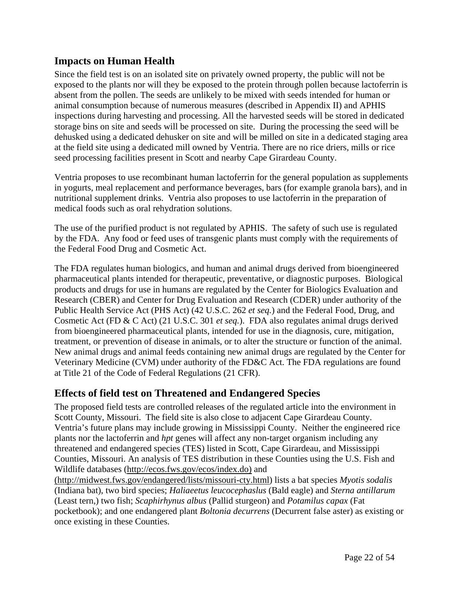# **Impacts on Human Health**

Since the field test is on an isolated site on privately owned property, the public will not be exposed to the plants nor will they be exposed to the protein through pollen because lactoferrin is absent from the pollen. The seeds are unlikely to be mixed with seeds intended for human or animal consumption because of numerous measures (described in Appendix II) and APHIS inspections during harvesting and processing. All the harvested seeds will be stored in dedicated storage bins on site and seeds will be processed on site. During the processing the seed will be dehusked using a dedicated dehusker on site and will be milled on site in a dedicated staging area at the field site using a dedicated mill owned by Ventria. There are no rice driers, mills or rice seed processing facilities present in Scott and nearby Cape Girardeau County.

Ventria proposes to use recombinant human lactoferrin for the general population as supplements in yogurts, meal replacement and performance beverages, bars (for example granola bars), and in nutritional supplement drinks. Ventria also proposes to use lactoferrin in the preparation of medical foods such as oral rehydration solutions.

The use of the purified product is not regulated by APHIS. The safety of such use is regulated by the FDA. Any food or feed uses of transgenic plants must comply with the requirements of the Federal Food Drug and Cosmetic Act.

The FDA regulates human biologics, and human and animal drugs derived from bioengineered pharmaceutical plants intended for therapeutic, preventative, or diagnostic purposes. Biological products and drugs for use in humans are regulated by the Center for Biologics Evaluation and Research (CBER) and Center for Drug Evaluation and Research (CDER) under authority of the Public Health Service Act (PHS Act) (42 U.S.C. 262 *et seq.*) and the Federal Food, Drug, and Cosmetic Act (FD & C Act) (21 U.S.C. 301 *et seq.*). FDA also regulates animal drugs derived from bioengineered pharmaceutical plants, intended for use in the diagnosis, cure, mitigation, treatment, or prevention of disease in animals, or to alter the structure or function of the animal. New animal drugs and animal feeds containing new animal drugs are regulated by the Center for Veterinary Medicine (CVM) under authority of the FD&C Act. The FDA regulations are found at Title 21 of the Code of Federal Regulations (21 CFR).

### **Effects of field test on Threatened and Endangered Species**

The proposed field tests are controlled releases of the regulated article into the environment in Scott County, Missouri. The field site is also close to adjacent Cape Girardeau County. Ventria's future plans may include growing in Mississippi County. Neither the engineered rice plants nor the lactoferrin and *hpt* genes will affect any non-target organism including any threatened and endangered species (TES) listed in Scott, Cape Girardeau, and Mississippi Counties, Missouri. An analysis of TES distribution in these Counties using the U.S. Fish and Wildlife databases (http://ecos.fws.gov/ecos/index.do) and

(http://midwest.fws.gov/endangered/lists/missouri-cty.html) lists a bat species *Myotis sodalis* (Indiana bat), two bird species; *Haliaeetus leucocephaslus* (Bald eagle) and *Sterna antillarum*  (Least tern,) two fish; *Scaphirhynus albus* (Pallid sturgeon) and *Potamilus capax* (Fat pocketbook); and one endangered plant *Boltonia decurrens* (Decurrent false aster) as existing or once existing in these Counties.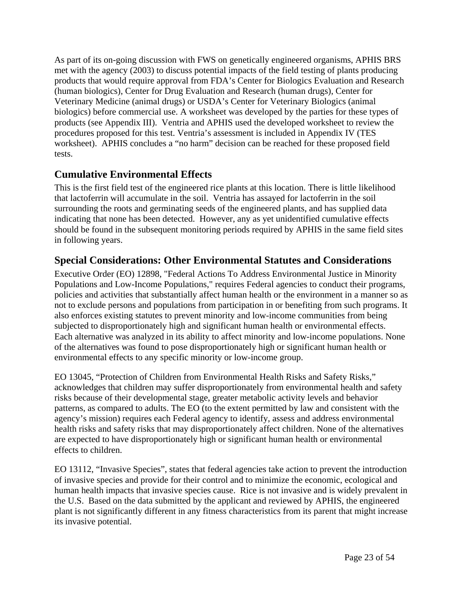As part of its on-going discussion with FWS on genetically engineered organisms, APHIS BRS met with the agency (2003) to discuss potential impacts of the field testing of plants producing products that would require approval from FDA's Center for Biologics Evaluation and Research (human biologics), Center for Drug Evaluation and Research (human drugs), Center for Veterinary Medicine (animal drugs) or USDA's Center for Veterinary Biologics (animal biologics) before commercial use. A worksheet was developed by the parties for these types of products (see Appendix III). Ventria and APHIS used the developed worksheet to review the procedures proposed for this test. Ventria's assessment is included in Appendix IV (TES worksheet). APHIS concludes a "no harm" decision can be reached for these proposed field tests.

# **Cumulative Environmental Effects**

This is the first field test of the engineered rice plants at this location. There is little likelihood that lactoferrin will accumulate in the soil. Ventria has assayed for lactoferrin in the soil surrounding the roots and germinating seeds of the engineered plants, and has supplied data indicating that none has been detected. However, any as yet unidentified cumulative effects should be found in the subsequent monitoring periods required by APHIS in the same field sites in following years.

# **Special Considerations: Other Environmental Statutes and Considerations**

Executive Order (EO) 12898, "Federal Actions To Address Environmental Justice in Minority Populations and Low-Income Populations," requires Federal agencies to conduct their programs, policies and activities that substantially affect human health or the environment in a manner so as not to exclude persons and populations from participation in or benefiting from such programs. It also enforces existing statutes to prevent minority and low-income communities from being subjected to disproportionately high and significant human health or environmental effects. Each alternative was analyzed in its ability to affect minority and low-income populations. None of the alternatives was found to pose disproportionately high or significant human health or environmental effects to any specific minority or low-income group.

EO 13045, "Protection of Children from Environmental Health Risks and Safety Risks," acknowledges that children may suffer disproportionately from environmental health and safety risks because of their developmental stage, greater metabolic activity levels and behavior patterns, as compared to adults. The EO (to the extent permitted by law and consistent with the agency's mission) requires each Federal agency to identify, assess and address environmental health risks and safety risks that may disproportionately affect children. None of the alternatives are expected to have disproportionately high or significant human health or environmental effects to children.

EO 13112, "Invasive Species", states that federal agencies take action to prevent the introduction of invasive species and provide for their control and to minimize the economic, ecological and human health impacts that invasive species cause. Rice is not invasive and is widely prevalent in the U.S. Based on the data submitted by the applicant and reviewed by APHIS, the engineered plant is not significantly different in any fitness characteristics from its parent that might increase its invasive potential.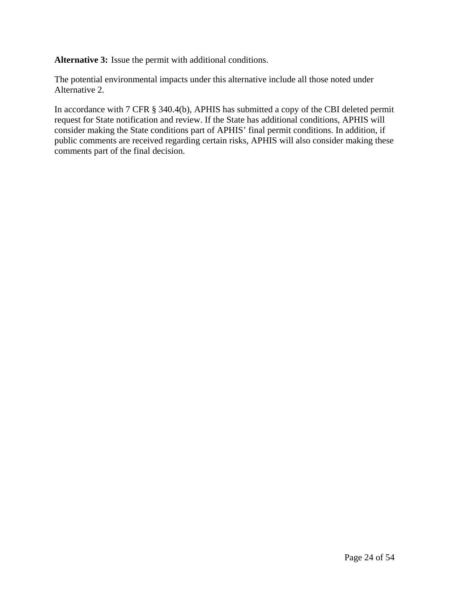**Alternative 3:** Issue the permit with additional conditions.

The potential environmental impacts under this alternative include all those noted under Alternative 2.

In accordance with 7 CFR § 340.4(b), APHIS has submitted a copy of the CBI deleted permit request for State notification and review. If the State has additional conditions, APHIS will consider making the State conditions part of APHIS' final permit conditions. In addition, if public comments are received regarding certain risks, APHIS will also consider making these comments part of the final decision.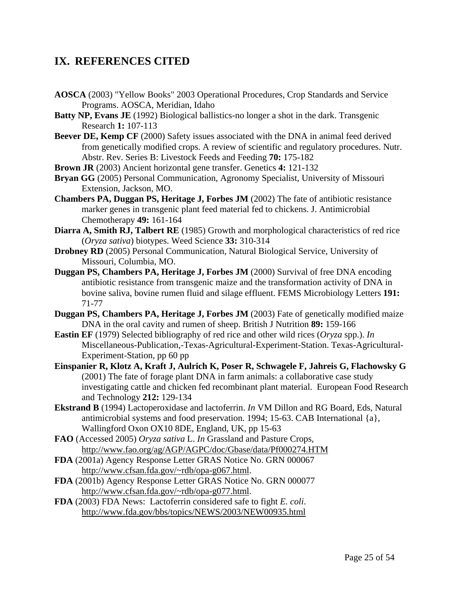# **IX. REFERENCES CITED**

- **AOSCA** (2003) "Yellow Books" 2003 Operational Procedures, Crop Standards and Service Programs. AOSCA, Meridian, Idaho
- **Batty NP, Evans JE** (1992) Biological ballistics-no longer a shot in the dark. Transgenic Research **1:** 107-113
- **Beever DE, Kemp CF** (2000) Safety issues associated with the DNA in animal feed derived from genetically modified crops. A review of scientific and regulatory procedures. Nutr. Abstr. Rev. Series B: Livestock Feeds and Feeding **70:** 175-182
- **Brown JR** (2003) Ancient horizontal gene transfer. Genetics **4:** 121-132
- **Bryan GG** (2005) Personal Communication, Agronomy Specialist, University of Missouri Extension, Jackson, MO.
- **Chambers PA, Duggan PS, Heritage J, Forbes JM** (2002) The fate of antibiotic resistance marker genes in transgenic plant feed material fed to chickens. J. Antimicrobial Chemotherapy **49:** 161-164
- **Diarra A, Smith RJ, Talbert RE** (1985) Growth and morphological characteristics of red rice (*Oryza sativa*) biotypes. Weed Science **33:** 310-314
- **Drobney RD** (2005) Personal Communication, Natural Biological Service, University of Missouri, Columbia, MO.
- **Duggan PS, Chambers PA, Heritage J, Forbes JM** (2000) Survival of free DNA encoding antibiotic resistance from transgenic maize and the transformation activity of DNA in bovine saliva, bovine rumen fluid and silage effluent. FEMS Microbiology Letters **191:** 71-77
- **Duggan PS, Chambers PA, Heritage J, Forbes JM** (2003) Fate of genetically modified maize DNA in the oral cavity and rumen of sheep. British J Nutrition **89:** 159-166
- **Eastin EF** (1979) Selected bibliography of red rice and other wild rices (*Oryza* spp.). *In* Miscellaneous-Publication,-Texas-Agricultural-Experiment-Station. Texas-Agricultural-Experiment-Station, pp 60 pp
- **Einspanier R, Klotz A, Kraft J, Aulrich K, Poser R, Schwagele F, Jahreis G, Flachowsky G** (2001) The fate of forage plant DNA in farm animals: a collaborative case study investigating cattle and chicken fed recombinant plant material. European Food Research and Technology **212:** 129-134
- **Ekstrand B** (1994) Lactoperoxidase and lactoferrin. *In* VM Dillon and RG Board, Eds, Natural antimicrobial systems and food preservation. 1994; 15-63. CAB International {a}, Wallingford Oxon OX10 8DE, England, UK, pp 15-63
- **FAO** (Accessed 2005) *Oryza sativa* L. *In* Grassland and Pasture Crops, http://www.fao.org/ag/AGP/AGPC/doc/Gbase/data/Pf000274.HTM
- **FDA** (2001a) Agency Response Letter GRAS Notice No. GRN 000067 http://www.cfsan.fda.gov/~rdb/opa-g067.html.
- **FDA** (2001b) Agency Response Letter GRAS Notice No. GRN 000077 http://www.cfsan.fda.gov/~rdb/opa-g077.html.
- **FDA** (2003) FDA News: Lactoferrin considered safe to fight *E. coli*. http://www.fda.gov/bbs/topics/NEWS/2003/NEW00935.html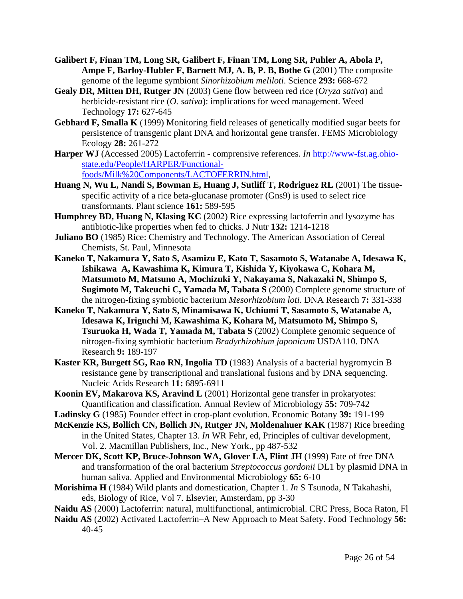- **Galibert F, Finan TM, Long SR, Galibert F, Finan TM, Long SR, Puhler A, Abola P, Ampe F, Barloy-Hubler F, Barnett MJ, A. B, P. B, Bothe G** (2001) The composite genome of the legume symbiont *Sinorhizobium meliloti*. Science **293:** 668-672
- **Gealy DR, Mitten DH, Rutger JN** (2003) Gene flow between red rice (*Oryza sativa*) and herbicide-resistant rice (*O. sativa*): implications for weed management. Weed Technology **17:** 627-645
- **Gebhard F, Smalla K** (1999) Monitoring field releases of genetically modified sugar beets for persistence of transgenic plant DNA and horizontal gene transfer. FEMS Microbiology Ecology **28:** 261-272
- **Harper WJ** (Accessed 2005) Lactoferrin comprensive references. *In* http://www-fst.ag.ohiostate.edu/People/HARPER/Functionalfoods/Milk%20Components/LACTOFERRIN.html,
- **Huang N, Wu L, Nandi S, Bowman E, Huang J, Sutliff T, Rodriguez RL** (2001) The tissuespecific activity of a rice beta-glucanase promoter (Gns9) is used to select rice transformants. Plant science **161:** 589-595
- **Humphrey BD, Huang N, Klasing KC** (2002) Rice expressing lactoferrin and lysozyme has antibiotic-like properties when fed to chicks. J Nutr **132:** 1214-1218
- **Juliano BO** (1985) Rice: Chemistry and Technology. The American Association of Cereal Chemists, St. Paul, Minnesota
- **Kaneko T, Nakamura Y, Sato S, Asamizu E, Kato T, Sasamoto S, Watanabe A, Idesawa K, Ishikawa A, Kawashima K, Kimura T, Kishida Y, Kiyokawa C, Kohara M, Matsumoto M, Matsuno A, Mochizuki Y, Nakayama S, Nakazaki N, Shimpo S, Sugimoto M, Takeuchi C, Yamada M, Tabata S** (2000) Complete genome structure of the nitrogen-fixing symbiotic bacterium *Mesorhizobium loti*. DNA Research **7:** 331-338
- **Kaneko T, Nakamura Y, Sato S, Minamisawa K, Uchiumi T, Sasamoto S, Watanabe A, Idesawa K, Iriguchi M, Kawashima K, Kohara M, Matsumoto M, Shimpo S, Tsuruoka H, Wada T, Yamada M, Tabata S** (2002) Complete genomic sequence of nitrogen-fixing symbiotic bacterium *Bradyrhizobium japonicum* USDA110. DNA Research **9:** 189-197
- **Kaster KR, Burgett SG, Rao RN, Ingolia TD** (1983) Analysis of a bacterial hygromycin B resistance gene by transcriptional and translational fusions and by DNA sequencing. Nucleic Acids Research **11:** 6895-6911
- **Koonin EV, Makarova KS, Aravind L** (2001) Horizontal gene transfer in prokaryotes: Quantification and classification. Annual Review of Microbiology **55:** 709-742
- **Ladinsky G** (1985) Founder effect in crop-plant evolution. Economic Botany **39:** 191-199
- **McKenzie KS, Bollich CN, Bollich JN, Rutger JN, Moldenahuer KAK** (1987) Rice breeding in the United States, Chapter 13. *In* WR Fehr, ed, Principles of cultivar development, Vol. 2. Macmillan Publishers, Inc., New York., pp 487-532
- **Mercer DK, Scott KP, Bruce-Johnson WA, Glover LA, Flint JH** (1999) Fate of free DNA and transformation of the oral bacterium *Streptococcus gordonii* DL1 by plasmid DNA in human saliva. Applied and Environmental Microbiology **65:** 6-10
- **Morishima H** (1984) Wild plants and domestication, Chapter 1. *In* S Tsunoda, N Takahashi, eds, Biology of Rice, Vol 7. Elsevier, Amsterdam, pp 3-30
- **Naidu AS** (2000) Lactoferrin: natural, multifunctional, antimicrobial. CRC Press, Boca Raton, Fl
- **Naidu AS** (2002) Activated Lactoferrin–A New Approach to Meat Safety. Food Technology **56:** 40-45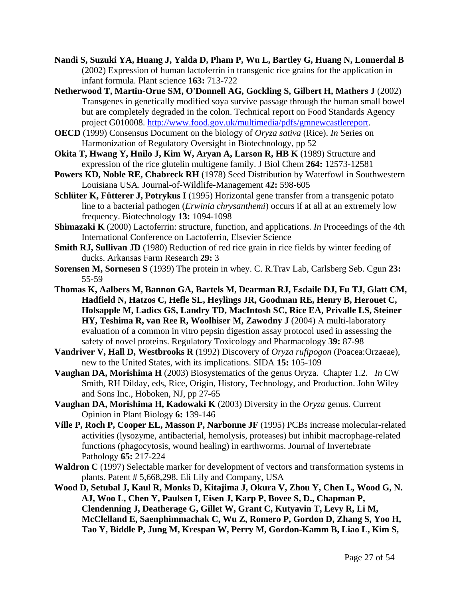- **Nandi S, Suzuki YA, Huang J, Yalda D, Pham P, Wu L, Bartley G, Huang N, Lonnerdal B** (2002) Expression of human lactoferrin in transgenic rice grains for the application in infant formula. Plant science **163:** 713-722
- **Netherwood T, Martin-Orue SM, O'Donnell AG, Gockling S, Gilbert H, Mathers J** (2002) Transgenes in genetically modified soya survive passage through the human small bowel but are completely degraded in the colon. Technical report on Food Standards Agency project G010008. http://www.food.gov.uk/multimedia/pdfs/gmnewcastlereport.
- **OECD** (1999) Consensus Document on the biology of *Oryza sativa* (Rice). *In* Series on Harmonization of Regulatory Oversight in Biotechnology, pp 52
- **Okita T, Hwang Y, Hnilo J, Kim W, Aryan A, Larson R, HB K** (1989) Structure and expression of the rice glutelin multigene family. J Biol Chem **264:** 12573-12581
- **Powers KD, Noble RE, Chabreck RH** (1978) Seed Distribution by Waterfowl in Southwestern Louisiana USA. Journal-of-Wildlife-Management **42:** 598-605
- **Schlüter K, Fütterer J, Potrykus I** (1995) Horizontal gene transfer from a transgenic potato line to a bacterial pathogen (*Erwinia chrysanthemi*) occurs if at all at an extremely low frequency. Biotechnology **13:** 1094-1098
- **Shimazaki K** (2000) Lactoferrin: structure, function, and applications. *In* Proceedings of the 4th International Conference on Lactoferrin, Elsevier Science
- **Smith RJ, Sullivan JD** (1980) Reduction of red rice grain in rice fields by winter feeding of ducks. Arkansas Farm Research **29:** 3
- **Sorensen M, Sornesen S** (1939) The protein in whey. C. R.Trav Lab, Carlsberg Seb. Cgun **23:** 55-59
- **Thomas K, Aalbers M, Bannon GA, Bartels M, Dearman RJ, Esdaile DJ, Fu TJ, Glatt CM, Hadfield N, Hatzos C, Hefle SL, Heylings JR, Goodman RE, Henry B, Herouet C, Holsapple M, Ladics GS, Landry TD, MacIntosh SC, Rice EA, Privalle LS, Steiner HY, Teshima R, van Ree R, Woolhiser M, Zawodny J** (2004) A multi-laboratory evaluation of a common in vitro pepsin digestion assay protocol used in assessing the safety of novel proteins. Regulatory Toxicology and Pharmacology **39:** 87-98
- **Vandriver V, Hall D, Westbrooks R** (1992) Discovery of *Oryza rufipogon* (Poacea:Orzaeae), new to the United States, with its implications. SIDA **15:** 105-109
- **Vaughan DA, Morishima H** (2003) Biosystematics of the genus Oryza. Chapter 1.2. *In* CW Smith, RH Dilday, eds, Rice, Origin, History, Technology, and Production. John Wiley and Sons Inc., Hoboken, NJ, pp 27-65
- **Vaughan DA, Morishima H, Kadowaki K** (2003) Diversity in the *Oryza* genus. Current Opinion in Plant Biology **6:** 139-146
- **Ville P, Roch P, Cooper EL, Masson P, Narbonne JF** (1995) PCBs increase molecular-related activities (lysozyme, antibacterial, hemolysis, proteases) but inhibit macrophage-related functions (phagocytosis, wound healing) in earthworms. Journal of Invertebrate Pathology **65:** 217-224
- **Waldron C** (1997) Selectable marker for development of vectors and transformation systems in plants. Patent # 5,668,298. Eli Lily and Company, USA
- **Wood D, Setubal J, Kaul R, Monks D, Kitajima J, Okura V, Zhou Y, Chen L, Wood G, N. AJ, Woo L, Chen Y, Paulsen I, Eisen J, Karp P, Bovee S, D., Chapman P, Clendenning J, Deatherage G, Gillet W, Grant C, Kutyavin T, Levy R, Li M, McClelland E, Saenphimmachak C, Wu Z, Romero P, Gordon D, Zhang S, Yoo H, Tao Y, Biddle P, Jung M, Krespan W, Perry M, Gordon-Kamm B, Liao L, Kim S,**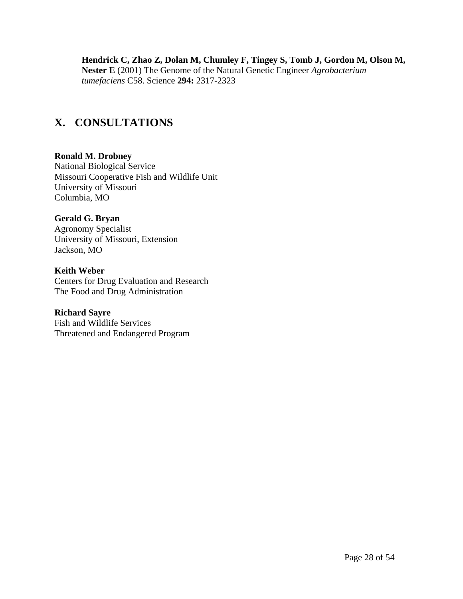**Hendrick C, Zhao Z, Dolan M, Chumley F, Tingey S, Tomb J, Gordon M, Olson M, Nester E** (2001) The Genome of the Natural Genetic Engineer *Agrobacterium tumefaciens* C58. Science **294:** 2317-2323

# **X. CONSULTATIONS**

#### **Ronald M. Drobney**

National Biological Service Missouri Cooperative Fish and Wildlife Unit University of Missouri Columbia, MO

#### **Gerald G. Bryan**

Agronomy Specialist University of Missouri, Extension Jackson, MO

#### **Keith Weber**

Centers for Drug Evaluation and Research The Food and Drug Administration

#### **Richard Sayre**

Fish and Wildlife Services Threatened and Endangered Program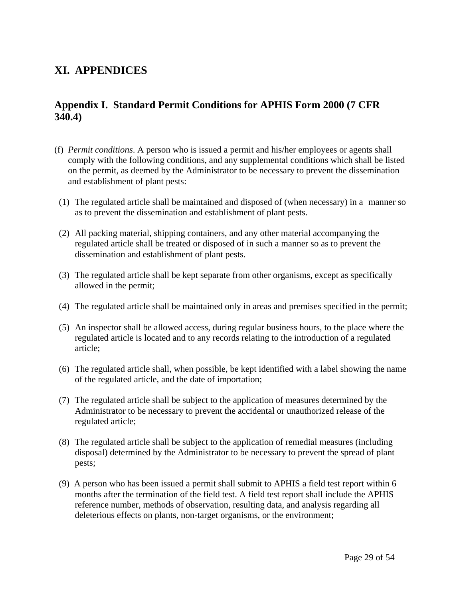# **XI. APPENDICES**

# **Appendix I. Standard Permit Conditions for APHIS Form 2000 (7 CFR 340.4)**

- (f) *Permit conditions*. A person who is issued a permit and his/her employees or agents shall comply with the following conditions, and any supplemental conditions which shall be listed on the permit, as deemed by the Administrator to be necessary to prevent the dissemination and establishment of plant pests:
- (1) The regulated article shall be maintained and disposed of (when necessary) in a manner so as to prevent the dissemination and establishment of plant pests.
- (2) All packing material, shipping containers, and any other material accompanying the regulated article shall be treated or disposed of in such a manner so as to prevent the dissemination and establishment of plant pests.
- (3) The regulated article shall be kept separate from other organisms, except as specifically allowed in the permit;
- (4) The regulated article shall be maintained only in areas and premises specified in the permit;
- (5) An inspector shall be allowed access, during regular business hours, to the place where the regulated article is located and to any records relating to the introduction of a regulated article;
- (6) The regulated article shall, when possible, be kept identified with a label showing the name of the regulated article, and the date of importation;
- (7) The regulated article shall be subject to the application of measures determined by the Administrator to be necessary to prevent the accidental or unauthorized release of the regulated article;
- (8) The regulated article shall be subject to the application of remedial measures (including disposal) determined by the Administrator to be necessary to prevent the spread of plant pests;
- (9) A person who has been issued a permit shall submit to APHIS a field test report within 6 months after the termination of the field test. A field test report shall include the APHIS reference number, methods of observation, resulting data, and analysis regarding all deleterious effects on plants, non-target organisms, or the environment;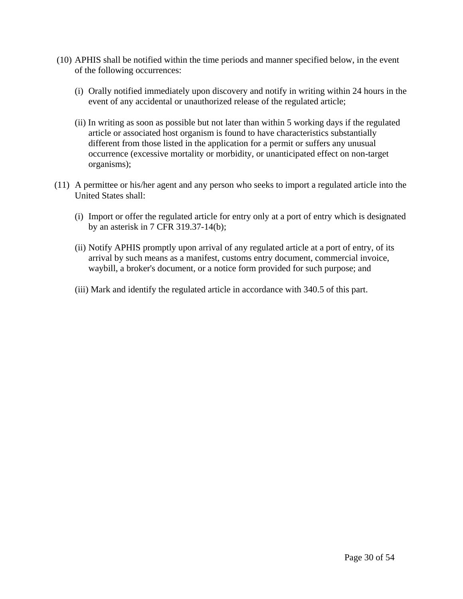- (10) APHIS shall be notified within the time periods and manner specified below, in the event of the following occurrences:
	- (i) Orally notified immediately upon discovery and notify in writing within 24 hours in the event of any accidental or unauthorized release of the regulated article;
	- (ii) In writing as soon as possible but not later than within 5 working days if the regulated article or associated host organism is found to have characteristics substantially different from those listed in the application for a permit or suffers any unusual occurrence (excessive mortality or morbidity, or unanticipated effect on non-target organisms);
- (11) A permittee or his/her agent and any person who seeks to import a regulated article into the United States shall:
	- (i) Import or offer the regulated article for entry only at a port of entry which is designated by an asterisk in 7 CFR 319.37-14(b);
	- (ii) Notify APHIS promptly upon arrival of any regulated article at a port of entry, of its arrival by such means as a manifest, customs entry document, commercial invoice, waybill, a broker's document, or a notice form provided for such purpose; and
	- (iii) Mark and identify the regulated article in accordance with 340.5 of this part.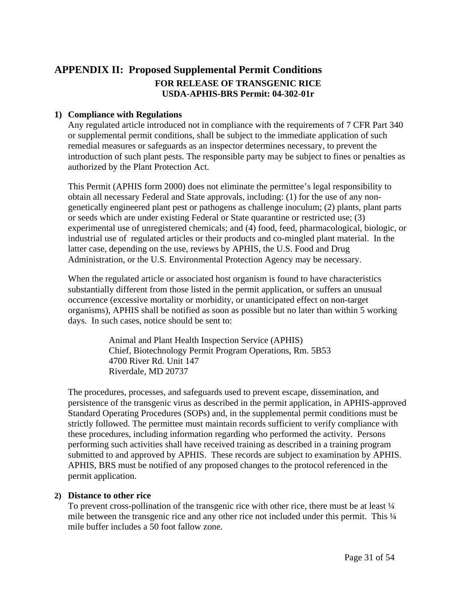# **APPENDIX II: Proposed Supplemental Permit Conditions FOR RELEASE OF TRANSGENIC RICE USDA-APHIS-BRS Permit: 04-302-01r**

#### **1) Compliance with Regulations**

Any regulated article introduced not in compliance with the requirements of 7 CFR Part 340 or supplemental permit conditions, shall be subject to the immediate application of such remedial measures or safeguards as an inspector determines necessary, to prevent the introduction of such plant pests. The responsible party may be subject to fines or penalties as authorized by the Plant Protection Act.

This Permit (APHIS form 2000) does not eliminate the permittee's legal responsibility to obtain all necessary Federal and State approvals, including: (1) for the use of any nongenetically engineered plant pest or pathogens as challenge inoculum; (2) plants, plant parts or seeds which are under existing Federal or State quarantine or restricted use; (3) experimental use of unregistered chemicals; and (4) food, feed, pharmacological, biologic, or industrial use of regulated articles or their products and co-mingled plant material. In the latter case, depending on the use, reviews by APHIS, the U.S. Food and Drug Administration, or the U.S. Environmental Protection Agency may be necessary.

When the regulated article or associated host organism is found to have characteristics substantially different from those listed in the permit application, or suffers an unusual occurrence (excessive mortality or morbidity, or unanticipated effect on non-target organisms), APHIS shall be notified as soon as possible but no later than within 5 working days. In such cases, notice should be sent to:

> Animal and Plant Health Inspection Service (APHIS) Chief, Biotechnology Permit Program Operations, Rm. 5B53 4700 River Rd. Unit 147 Riverdale, MD 20737

The procedures, processes, and safeguards used to prevent escape, dissemination, and persistence of the transgenic virus as described in the permit application, in APHIS-approved Standard Operating Procedures (SOPs) and, in the supplemental permit conditions must be strictly followed. The permittee must maintain records sufficient to verify compliance with these procedures, including information regarding who performed the activity. Persons performing such activities shall have received training as described in a training program submitted to and approved by APHIS. These records are subject to examination by APHIS. APHIS, BRS must be notified of any proposed changes to the protocol referenced in the permit application.

#### **2) Distance to other rice**

To prevent cross-pollination of the transgenic rice with other rice, there must be at least  $\frac{1}{4}$ mile between the transgenic rice and any other rice not included under this permit. This  $\frac{1}{4}$ mile buffer includes a 50 foot fallow zone.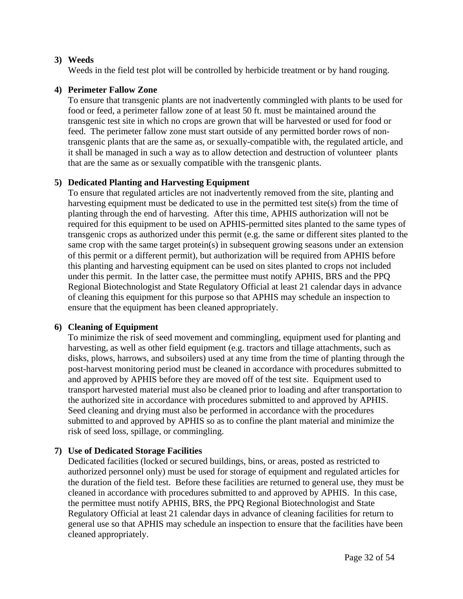#### **3) Weeds**

Weeds in the field test plot will be controlled by herbicide treatment or by hand rouging.

#### **4) Perimeter Fallow Zone**

To ensure that transgenic plants are not inadvertently commingled with plants to be used for food or feed, a perimeter fallow zone of at least 50 ft. must be maintained around the transgenic test site in which no crops are grown that will be harvested or used for food or feed. The perimeter fallow zone must start outside of any permitted border rows of nontransgenic plants that are the same as, or sexually-compatible with, the regulated article, and it shall be managed in such a way as to allow detection and destruction of volunteer plants that are the same as or sexually compatible with the transgenic plants.

#### **5) Dedicated Planting and Harvesting Equipment**

To ensure that regulated articles are not inadvertently removed from the site, planting and harvesting equipment must be dedicated to use in the permitted test site(s) from the time of planting through the end of harvesting. After this time, APHIS authorization will not be required for this equipment to be used on APHIS-permitted sites planted to the same types of transgenic crops as authorized under this permit (e.g. the same or different sites planted to the same crop with the same target protein(s) in subsequent growing seasons under an extension of this permit or a different permit), but authorization will be required from APHIS before this planting and harvesting equipment can be used on sites planted to crops not included under this permit. In the latter case, the permittee must notify APHIS, BRS and the PPQ Regional Biotechnologist and State Regulatory Official at least 21 calendar days in advance of cleaning this equipment for this purpose so that APHIS may schedule an inspection to ensure that the equipment has been cleaned appropriately.

#### **6) Cleaning of Equipment**

To minimize the risk of seed movement and commingling, equipment used for planting and harvesting, as well as other field equipment (e.g. tractors and tillage attachments, such as disks, plows, harrows, and subsoilers) used at any time from the time of planting through the post-harvest monitoring period must be cleaned in accordance with procedures submitted to and approved by APHIS before they are moved off of the test site. Equipment used to transport harvested material must also be cleaned prior to loading and after transportation to the authorized site in accordance with procedures submitted to and approved by APHIS. Seed cleaning and drying must also be performed in accordance with the procedures submitted to and approved by APHIS so as to confine the plant material and minimize the risk of seed loss, spillage, or commingling.

#### **7) Use of Dedicated Storage Facilities**

Dedicated facilities (locked or secured buildings, bins, or areas, posted as restricted to authorized personnel only) must be used for storage of equipment and regulated articles for the duration of the field test. Before these facilities are returned to general use, they must be cleaned in accordance with procedures submitted to and approved by APHIS. In this case, the permittee must notify APHIS, BRS, the PPQ Regional Biotechnologist and State Regulatory Official at least 21 calendar days in advance of cleaning facilities for return to general use so that APHIS may schedule an inspection to ensure that the facilities have been cleaned appropriately.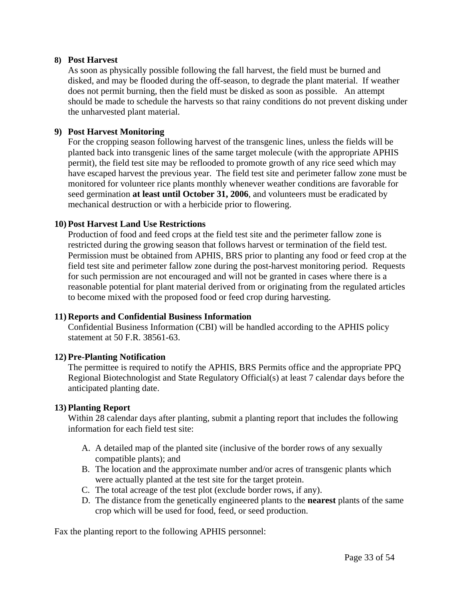#### **8) Post Harvest**

As soon as physically possible following the fall harvest, the field must be burned and disked, and may be flooded during the off-season, to degrade the plant material. If weather does not permit burning, then the field must be disked as soon as possible. An attempt should be made to schedule the harvests so that rainy conditions do not prevent disking under the unharvested plant material.

#### **9) Post Harvest Monitoring**

For the cropping season following harvest of the transgenic lines, unless the fields will be planted back into transgenic lines of the same target molecule (with the appropriate APHIS permit), the field test site may be reflooded to promote growth of any rice seed which may have escaped harvest the previous year. The field test site and perimeter fallow zone must be monitored for volunteer rice plants monthly whenever weather conditions are favorable for seed germination **at least until October 31, 2006**, and volunteers must be eradicated by mechanical destruction or with a herbicide prior to flowering.

#### **10) Post Harvest Land Use Restrictions**

Production of food and feed crops at the field test site and the perimeter fallow zone is restricted during the growing season that follows harvest or termination of the field test. Permission must be obtained from APHIS, BRS prior to planting any food or feed crop at the field test site and perimeter fallow zone during the post-harvest monitoring period. Requests for such permission are not encouraged and will not be granted in cases where there is a reasonable potential for plant material derived from or originating from the regulated articles to become mixed with the proposed food or feed crop during harvesting.

#### **11) Reports and Confidential Business Information**

Confidential Business Information (CBI) will be handled according to the APHIS policy statement at 50 F.R. 38561-63.

#### **12) Pre-Planting Notification**

The permittee is required to notify the APHIS, BRS Permits office and the appropriate PPQ Regional Biotechnologist and State Regulatory Official(s) at least 7 calendar days before the anticipated planting date.

#### **13) Planting Report**

Within 28 calendar days after planting, submit a planting report that includes the following information for each field test site:

- A. A detailed map of the planted site (inclusive of the border rows of any sexually compatible plants); and
- B. The location and the approximate number and/or acres of transgenic plants which were actually planted at the test site for the target protein.
- C. The total acreage of the test plot (exclude border rows, if any).
- D. The distance from the genetically engineered plants to the **nearest** plants of the same crop which will be used for food, feed, or seed production.

Fax the planting report to the following APHIS personnel: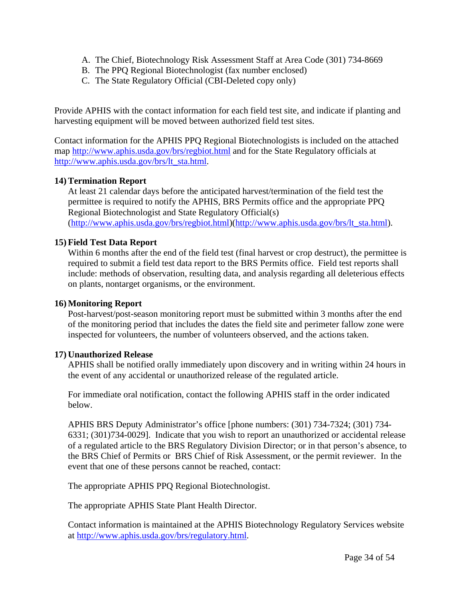- A. The Chief, Biotechnology Risk Assessment Staff at Area Code (301) 734-8669
- B. The PPQ Regional Biotechnologist (fax number enclosed)
- C. The State Regulatory Official (CBI-Deleted copy only)

Provide APHIS with the contact information for each field test site, and indicate if planting and harvesting equipment will be moved between authorized field test sites.

Contact information for the APHIS PPQ Regional Biotechnologists is included on the attached map http://www.aphis.usda.gov/brs/regbiot.html and for the State Regulatory officials at http://www.aphis.usda.gov/brs/lt\_sta.html.

#### **14) Termination Report**

At least 21 calendar days before the anticipated harvest/termination of the field test the permittee is required to notify the APHIS, BRS Permits office and the appropriate PPQ Regional Biotechnologist and State Regulatory Official(s) (http://www.aphis.usda.gov/brs/regbiot.html)(http://www.aphis.usda.gov/brs/lt\_sta.html).

#### **15) Field Test Data Report**

Within 6 months after the end of the field test (final harvest or crop destruct), the permittee is required to submit a field test data report to the BRS Permits office. Field test reports shall include: methods of observation, resulting data, and analysis regarding all deleterious effects on plants, nontarget organisms, or the environment.

#### **16) Monitoring Report**

Post-harvest/post-season monitoring report must be submitted within 3 months after the end of the monitoring period that includes the dates the field site and perimeter fallow zone were inspected for volunteers, the number of volunteers observed, and the actions taken.

#### **17) Unauthorized Release**

APHIS shall be notified orally immediately upon discovery and in writing within 24 hours in the event of any accidental or unauthorized release of the regulated article.

For immediate oral notification, contact the following APHIS staff in the order indicated below.

APHIS BRS Deputy Administrator's office [phone numbers: (301) 734-7324; (301) 734- 6331; (301)734-0029]. Indicate that you wish to report an unauthorized or accidental release of a regulated article to the BRS Regulatory Division Director; or in that person's absence, to the BRS Chief of Permits or BRS Chief of Risk Assessment, or the permit reviewer. In the event that one of these persons cannot be reached, contact:

The appropriate APHIS PPQ Regional Biotechnologist.

The appropriate APHIS State Plant Health Director.

Contact information is maintained at the APHIS Biotechnology Regulatory Services website at http://www.aphis.usda.gov/brs/regulatory.html.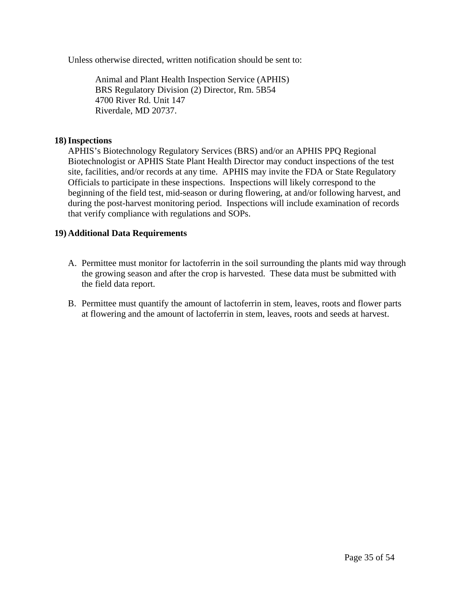Unless otherwise directed, written notification should be sent to:

Animal and Plant Health Inspection Service (APHIS) BRS Regulatory Division (2) Director, Rm. 5B54 4700 River Rd. Unit 147 Riverdale, MD 20737.

#### **18)Inspections**

APHIS's Biotechnology Regulatory Services (BRS) and/or an APHIS PPQ Regional Biotechnologist or APHIS State Plant Health Director may conduct inspections of the test site, facilities, and/or records at any time. APHIS may invite the FDA or State Regulatory Officials to participate in these inspections. Inspections will likely correspond to the beginning of the field test, mid-season or during flowering, at and/or following harvest, and during the post-harvest monitoring period. Inspections will include examination of records that verify compliance with regulations and SOPs.

#### **19) Additional Data Requirements**

- A. Permittee must monitor for lactoferrin in the soil surrounding the plants mid way through the growing season and after the crop is harvested. These data must be submitted with the field data report.
- B. Permittee must quantify the amount of lactoferrin in stem, leaves, roots and flower parts at flowering and the amount of lactoferrin in stem, leaves, roots and seeds at harvest.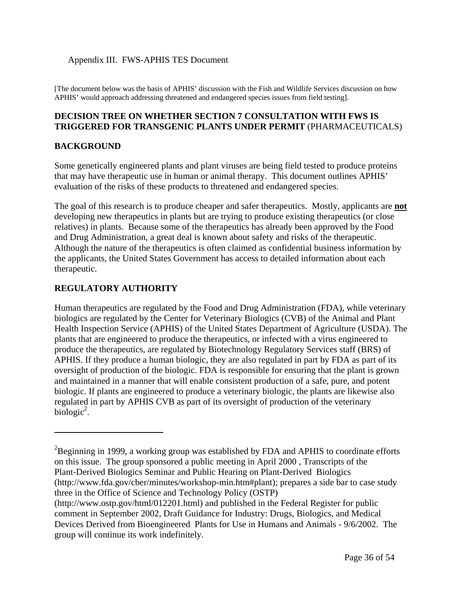#### Appendix III. FWS-APHIS TES Document

[The document below was the basis of APHIS' discussion with the Fish and Wildlife Services discussion on how APHIS' would approach addressing threatened and endangered species issues from field testing].

#### **DECISION TREE ON WHETHER SECTION 7 CONSULTATION WITH FWS IS TRIGGERED FOR TRANSGENIC PLANTS UNDER PERMIT** (PHARMACEUTICALS)

#### **BACKGROUND**

Some genetically engineered plants and plant viruses are being field tested to produce proteins that may have therapeutic use in human or animal therapy. This document outlines APHIS' evaluation of the risks of these products to threatened and endangered species.

The goal of this research is to produce cheaper and safer therapeutics. Mostly, applicants are **not** developing new therapeutics in plants but are trying to produce existing therapeutics (or close relatives) in plants. Because some of the therapeutics has already been approved by the Food and Drug Administration, a great deal is known about safety and risks of the therapeutic. Although the nature of the therapeutics is often claimed as confidential business information by the applicants, the United States Government has access to detailed information about each therapeutic.

#### **REGULATORY AUTHORITY**

 $\overline{a}$ 

Human therapeutics are regulated by the Food and Drug Administration (FDA), while veterinary biologics are regulated by the Center for Veterinary Biologics (CVB) of the Animal and Plant Health Inspection Service (APHIS) of the United States Department of Agriculture (USDA). The plants that are engineered to produce the therapeutics, or infected with a virus engineered to produce the therapeutics, are regulated by Biotechnology Regulatory Services staff (BRS) of APHIS. If they produce a human biologic, they are also regulated in part by FDA as part of its oversight of production of the biologic. FDA is responsible for ensuring that the plant is grown and maintained in a manner that will enable consistent production of a safe, pure, and potent biologic. If plants are engineered to produce a veterinary biologic, the plants are likewise also regulated in part by APHIS CVB as part of its oversight of production of the veterinary  $biologic<sup>2</sup>$ .

 $2B$ eginning in 1999, a working group was established by FDA and APHIS to coordinate efforts on this issue. The group sponsored a public meeting in April 2000 , Transcripts of the Plant-Derived Biologics Seminar and Public Hearing on Plant-Derived Biologics (http://www.fda.gov/cber/minutes/workshop-min.htm#plant); prepares a side bar to case study three in the Office of Science and Technology Policy (OSTP)

<sup>(</sup>http://www.ostp.gov/html/012201.html) and published in the Federal Register for public comment in September 2002, Draft Guidance for Industry: Drugs, Biologics, and Medical Devices Derived from Bioengineered Plants for Use in Humans and Animals - 9/6/2002. The group will continue its work indefinitely.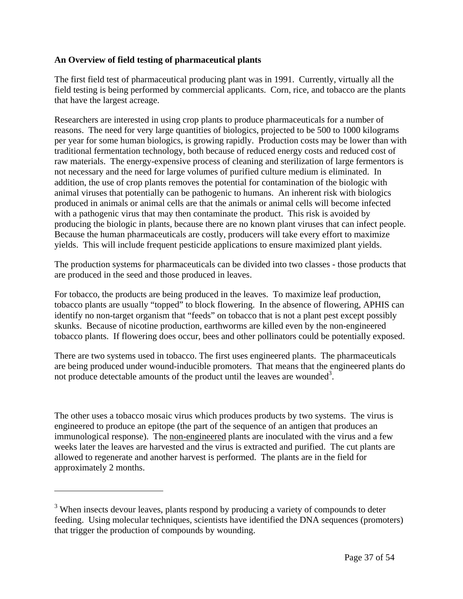#### **An Overview of field testing of pharmaceutical plants**

The first field test of pharmaceutical producing plant was in 1991. Currently, virtually all the field testing is being performed by commercial applicants. Corn, rice, and tobacco are the plants that have the largest acreage.

Researchers are interested in using crop plants to produce pharmaceuticals for a number of reasons. The need for very large quantities of biologics, projected to be 500 to 1000 kilograms per year for some human biologics, is growing rapidly. Production costs may be lower than with traditional fermentation technology, both because of reduced energy costs and reduced cost of raw materials. The energy-expensive process of cleaning and sterilization of large fermentors is not necessary and the need for large volumes of purified culture medium is eliminated. In addition, the use of crop plants removes the potential for contamination of the biologic with animal viruses that potentially can be pathogenic to humans. An inherent risk with biologics produced in animals or animal cells are that the animals or animal cells will become infected with a pathogenic virus that may then contaminate the product. This risk is avoided by producing the biologic in plants, because there are no known plant viruses that can infect people. Because the human pharmaceuticals are costly, producers will take every effort to maximize yields. This will include frequent pesticide applications to ensure maximized plant yields.

The production systems for pharmaceuticals can be divided into two classes - those products that are produced in the seed and those produced in leaves.

For tobacco, the products are being produced in the leaves. To maximize leaf production, tobacco plants are usually "topped" to block flowering. In the absence of flowering, APHIS can identify no non-target organism that "feeds" on tobacco that is not a plant pest except possibly skunks. Because of nicotine production, earthworms are killed even by the non-engineered tobacco plants. If flowering does occur, bees and other pollinators could be potentially exposed.

There are two systems used in tobacco. The first uses engineered plants. The pharmaceuticals are being produced under wound-inducible promoters. That means that the engineered plants do not produce detectable amounts of the product until the leaves are wounded<sup>3</sup>.

The other uses a tobacco mosaic virus which produces products by two systems. The virus is engineered to produce an epitope (the part of the sequence of an antigen that produces an immunological response). The non-engineered plants are inoculated with the virus and a few weeks later the leaves are harvested and the virus is extracted and purified. The cut plants are allowed to regenerate and another harvest is performed. The plants are in the field for approximately 2 months.

1

<sup>&</sup>lt;sup>3</sup> When insects devour leaves, plants respond by producing a variety of compounds to deter feeding. Using molecular techniques, scientists have identified the DNA sequences (promoters) that trigger the production of compounds by wounding.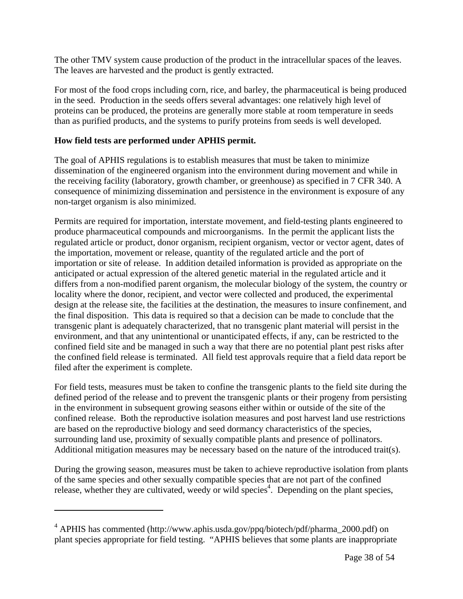The other TMV system cause production of the product in the intracellular spaces of the leaves. The leaves are harvested and the product is gently extracted.

For most of the food crops including corn, rice, and barley, the pharmaceutical is being produced in the seed. Production in the seeds offers several advantages: one relatively high level of proteins can be produced, the proteins are generally more stable at room temperature in seeds than as purified products, and the systems to purify proteins from seeds is well developed.

#### **How field tests are performed under APHIS permit.**

 $\overline{a}$ 

The goal of APHIS regulations is to establish measures that must be taken to minimize dissemination of the engineered organism into the environment during movement and while in the receiving facility (laboratory, growth chamber, or greenhouse) as specified in 7 CFR 340. A consequence of minimizing dissemination and persistence in the environment is exposure of any non-target organism is also minimized.

Permits are required for importation, interstate movement, and field-testing plants engineered to produce pharmaceutical compounds and microorganisms. In the permit the applicant lists the regulated article or product, donor organism, recipient organism, vector or vector agent, dates of the importation, movement or release, quantity of the regulated article and the port of importation or site of release. In addition detailed information is provided as appropriate on the anticipated or actual expression of the altered genetic material in the regulated article and it differs from a non-modified parent organism, the molecular biology of the system, the country or locality where the donor, recipient, and vector were collected and produced, the experimental design at the release site, the facilities at the destination, the measures to insure confinement, and the final disposition. This data is required so that a decision can be made to conclude that the transgenic plant is adequately characterized, that no transgenic plant material will persist in the environment, and that any unintentional or unanticipated effects, if any, can be restricted to the confined field site and be managed in such a way that there are no potential plant pest risks after the confined field release is terminated. All field test approvals require that a field data report be filed after the experiment is complete.

For field tests, measures must be taken to confine the transgenic plants to the field site during the defined period of the release and to prevent the transgenic plants or their progeny from persisting in the environment in subsequent growing seasons either within or outside of the site of the confined release. Both the reproductive isolation measures and post harvest land use restrictions are based on the reproductive biology and seed dormancy characteristics of the species, surrounding land use, proximity of sexually compatible plants and presence of pollinators. Additional mitigation measures may be necessary based on the nature of the introduced trait(s).

During the growing season, measures must be taken to achieve reproductive isolation from plants of the same species and other sexually compatible species that are not part of the confined release, whether they are cultivated, weedy or wild species<sup>4</sup>. Depending on the plant species,

<sup>&</sup>lt;sup>4</sup> APHIS has commented (http://www.aphis.usda.gov/ppq/biotech/pdf/pharma\_2000.pdf) on plant species appropriate for field testing. "APHIS believes that some plants are inappropriate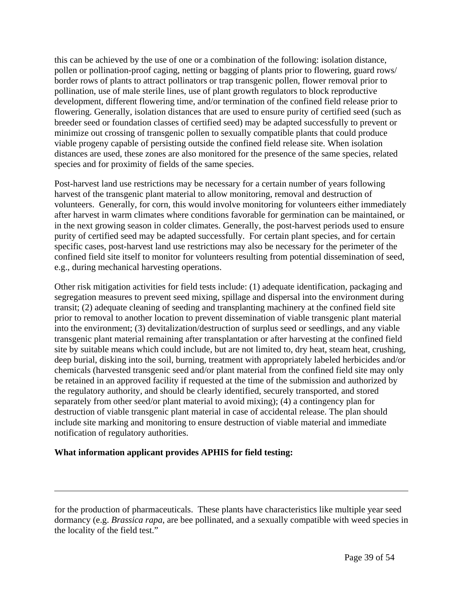this can be achieved by the use of one or a combination of the following: isolation distance, pollen or pollination-proof caging, netting or bagging of plants prior to flowering, guard rows/ border rows of plants to attract pollinators or trap transgenic pollen, flower removal prior to pollination, use of male sterile lines, use of plant growth regulators to block reproductive development, different flowering time, and/or termination of the confined field release prior to flowering. Generally, isolation distances that are used to ensure purity of certified seed (such as breeder seed or foundation classes of certified seed) may be adapted successfully to prevent or minimize out crossing of transgenic pollen to sexually compatible plants that could produce viable progeny capable of persisting outside the confined field release site. When isolation distances are used, these zones are also monitored for the presence of the same species, related species and for proximity of fields of the same species.

Post-harvest land use restrictions may be necessary for a certain number of years following harvest of the transgenic plant material to allow monitoring, removal and destruction of volunteers. Generally, for corn, this would involve monitoring for volunteers either immediately after harvest in warm climates where conditions favorable for germination can be maintained, or in the next growing season in colder climates. Generally, the post-harvest periods used to ensure purity of certified seed may be adapted successfully. For certain plant species, and for certain specific cases, post-harvest land use restrictions may also be necessary for the perimeter of the confined field site itself to monitor for volunteers resulting from potential dissemination of seed, e.g., during mechanical harvesting operations.

Other risk mitigation activities for field tests include: (1) adequate identification, packaging and segregation measures to prevent seed mixing, spillage and dispersal into the environment during transit; (2) adequate cleaning of seeding and transplanting machinery at the confined field site prior to removal to another location to prevent dissemination of viable transgenic plant material into the environment; (3) devitalization/destruction of surplus seed or seedlings, and any viable transgenic plant material remaining after transplantation or after harvesting at the confined field site by suitable means which could include, but are not limited to, dry heat, steam heat, crushing, deep burial, disking into the soil, burning, treatment with appropriately labeled herbicides and/or chemicals (harvested transgenic seed and/or plant material from the confined field site may only be retained in an approved facility if requested at the time of the submission and authorized by the regulatory authority, and should be clearly identified, securely transported, and stored separately from other seed/or plant material to avoid mixing); (4) a contingency plan for destruction of viable transgenic plant material in case of accidental release. The plan should include site marking and monitoring to ensure destruction of viable material and immediate notification of regulatory authorities.

#### **What information applicant provides APHIS for field testing:**

 $\overline{a}$ 

for the production of pharmaceuticals. These plants have characteristics like multiple year seed dormancy (e.g. *Brassica rapa*, are bee pollinated, and a sexually compatible with weed species in the locality of the field test."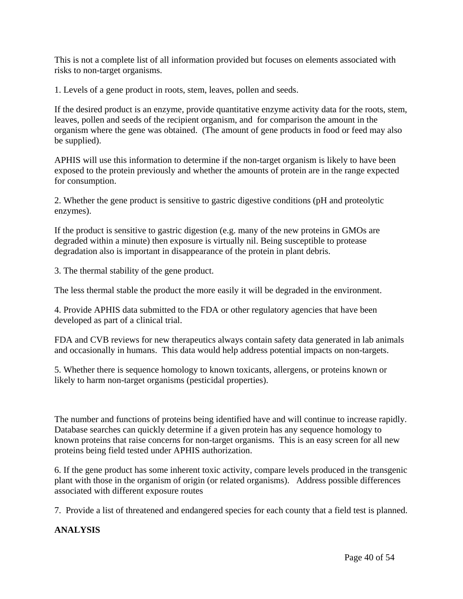This is not a complete list of all information provided but focuses on elements associated with risks to non-target organisms.

1. Levels of a gene product in roots, stem, leaves, pollen and seeds.

If the desired product is an enzyme, provide quantitative enzyme activity data for the roots, stem, leaves, pollen and seeds of the recipient organism, and for comparison the amount in the organism where the gene was obtained. (The amount of gene products in food or feed may also be supplied).

APHIS will use this information to determine if the non-target organism is likely to have been exposed to the protein previously and whether the amounts of protein are in the range expected for consumption.

2. Whether the gene product is sensitive to gastric digestive conditions (pH and proteolytic enzymes).

If the product is sensitive to gastric digestion (e.g. many of the new proteins in GMOs are degraded within a minute) then exposure is virtually nil. Being susceptible to protease degradation also is important in disappearance of the protein in plant debris.

3. The thermal stability of the gene product.

The less thermal stable the product the more easily it will be degraded in the environment.

4. Provide APHIS data submitted to the FDA or other regulatory agencies that have been developed as part of a clinical trial.

FDA and CVB reviews for new therapeutics always contain safety data generated in lab animals and occasionally in humans. This data would help address potential impacts on non-targets.

5. Whether there is sequence homology to known toxicants, allergens, or proteins known or likely to harm non-target organisms (pesticidal properties).

The number and functions of proteins being identified have and will continue to increase rapidly. Database searches can quickly determine if a given protein has any sequence homology to known proteins that raise concerns for non-target organisms. This is an easy screen for all new proteins being field tested under APHIS authorization.

6. If the gene product has some inherent toxic activity, compare levels produced in the transgenic plant with those in the organism of origin (or related organisms). Address possible differences associated with different exposure routes

7. Provide a list of threatened and endangered species for each county that a field test is planned.

#### **ANALYSIS**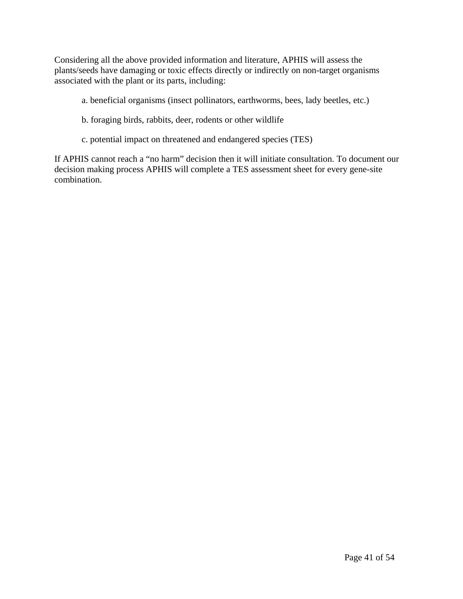Considering all the above provided information and literature, APHIS will assess the plants/seeds have damaging or toxic effects directly or indirectly on non-target organisms associated with the plant or its parts, including:

- a. beneficial organisms (insect pollinators, earthworms, bees, lady beetles, etc.)
- b. foraging birds, rabbits, deer, rodents or other wildlife
- c. potential impact on threatened and endangered species (TES)

If APHIS cannot reach a "no harm" decision then it will initiate consultation. To document our decision making process APHIS will complete a TES assessment sheet for every gene-site combination.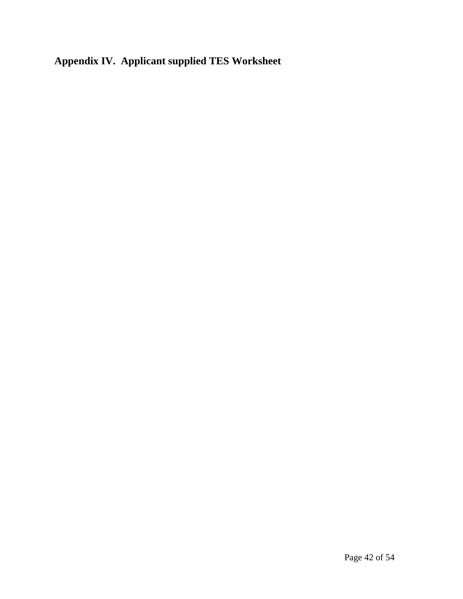# **Appendix IV. Applicant supplied TES Worksheet**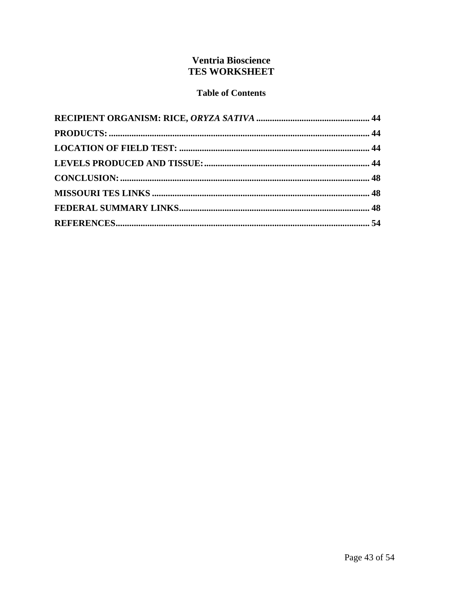## **Ventria Bioscience TES WORKSHEET**

### **Table of Contents**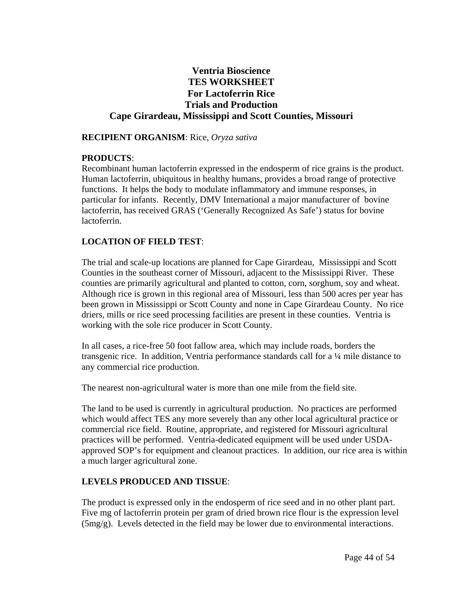### **Ventria Bioscience TES WORKSHEET For Lactoferrin Rice Trials and Production Cape Girardeau, Mississippi and Scott Counties, Missouri**

#### **RECIPIENT ORGANISM**: Rice, *Oryza sativa*

#### **PRODUCTS**:

Recombinant human lactoferrin expressed in the endosperm of rice grains is the product. Human lactoferrin, ubiquitous in healthy humans, provides a broad range of protective functions. It helps the body to modulate inflammatory and immune responses, in particular for infants. Recently, DMV International a major manufacturer of bovine lactoferrin, has received GRAS ('Generally Recognized As Safe') status for bovine lactoferrin.

#### **LOCATION OF FIELD TEST**:

The trial and scale-up locations are planned for Cape Girardeau, Mississippi and Scott Counties in the southeast corner of Missouri, adjacent to the Mississippi River. These counties are primarily agricultural and planted to cotton, corn, sorghum, soy and wheat. Although rice is grown in this regional area of Missouri, less than 500 acres per year has been grown in Mississippi or Scott County and none in Cape Girardeau County. No rice driers, mills or rice seed processing facilities are present in these counties. Ventria is working with the sole rice producer in Scott County.

In all cases, a rice-free 50 foot fallow area, which may include roads, borders the transgenic rice. In addition, Ventria performance standards call for a ¼ mile distance to any commercial rice production.

The nearest non-agricultural water is more than one mile from the field site.

The land to be used is currently in agricultural production. No practices are performed which would affect TES any more severely than any other local agricultural practice or commercial rice field. Routine, appropriate, and registered for Missouri agricultural practices will be performed. Ventria-dedicated equipment will be used under USDAapproved SOP's for equipment and cleanout practices. In addition, our rice area is within a much larger agricultural zone.

#### **LEVELS PRODUCED AND TISSUE**:

The product is expressed only in the endosperm of rice seed and in no other plant part. Five mg of lactoferrin protein per gram of dried brown rice flour is the expression level (5mg/g). Levels detected in the field may be lower due to environmental interactions.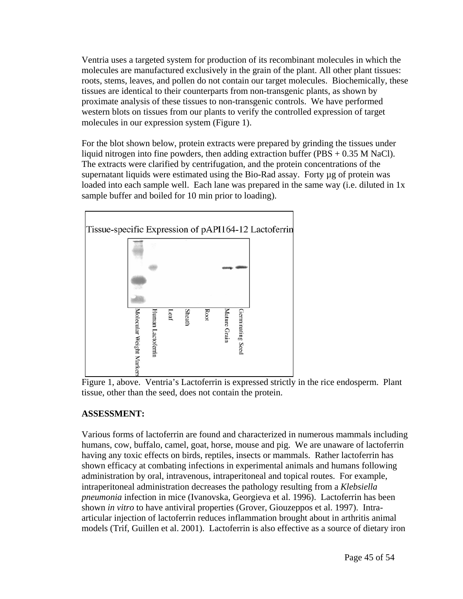Ventria uses a targeted system for production of its recombinant molecules in which the molecules are manufactured exclusively in the grain of the plant. All other plant tissues: roots, stems, leaves, and pollen do not contain our target molecules. Biochemically, these tissues are identical to their counterparts from non-transgenic plants, as shown by proximate analysis of these tissues to non-transgenic controls. We have performed western blots on tissues from our plants to verify the controlled expression of target molecules in our expression system (Figure 1).

For the blot shown below, protein extracts were prepared by grinding the tissues under liquid nitrogen into fine powders, then adding extraction buffer (PBS  $+ 0.35$  M NaCl). The extracts were clarified by centrifugation, and the protein concentrations of the supernatant liquids were estimated using the Bio-Rad assay. Forty ug of protein was loaded into each sample well. Each lane was prepared in the same way (i.e. diluted in 1x sample buffer and boiled for 10 min prior to loading).



Figure 1, above. Ventria's Lactoferrin is expressed strictly in the rice endosperm. Plant tissue, other than the seed, does not contain the protein.

# **ASSESSMENT:**

Various forms of lactoferrin are found and characterized in numerous mammals including humans, cow, buffalo, camel, goat, horse, mouse and pig. We are unaware of lactoferrin having any toxic effects on birds, reptiles, insects or mammals. Rather lactoferrin has shown efficacy at combating infections in experimental animals and humans following administration by oral, intravenous, intraperitoneal and topical routes. For example, intraperitoneal administration decreases the pathology resulting from a *Klebsiella pneumonia* infection in mice (Ivanovska, Georgieva et al. 1996). Lactoferrin has been shown *in vitro* to have antiviral properties (Grover, Giouzeppos et al. 1997). Intraarticular injection of lactoferrin reduces inflammation brought about in arthritis animal models (Trif, Guillen et al. 2001). Lactoferrin is also effective as a source of dietary iron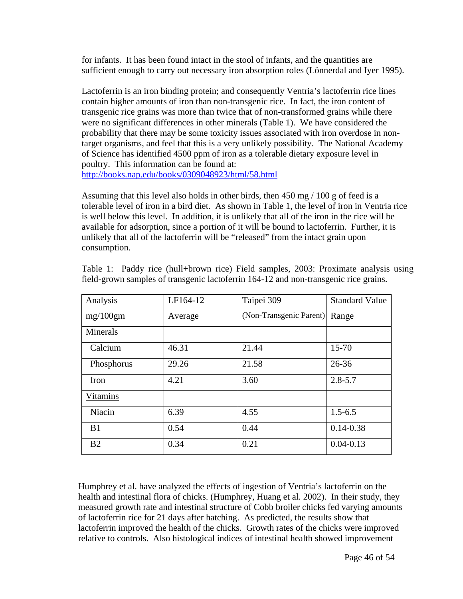for infants. It has been found intact in the stool of infants, and the quantities are sufficient enough to carry out necessary iron absorption roles (Lönnerdal and Iyer 1995).

Lactoferrin is an iron binding protein; and consequently Ventria's lactoferrin rice lines contain higher amounts of iron than non-transgenic rice. In fact, the iron content of transgenic rice grains was more than twice that of non-transformed grains while there were no significant differences in other minerals (Table 1). We have considered the probability that there may be some toxicity issues associated with iron overdose in nontarget organisms, and feel that this is a very unlikely possibility. The National Academy of Science has identified 4500 ppm of iron as a tolerable dietary exposure level in poultry. This information can be found at: http://books.nap.edu/books/0309048923/html/58.html

Assuming that this level also holds in other birds, then 450 mg / 100 g of feed is a tolerable level of iron in a bird diet. As shown in Table 1, the level of iron in Ventria rice is well below this level. In addition, it is unlikely that all of the iron in the rice will be available for adsorption, since a portion of it will be bound to lactoferrin. Further, it is unlikely that all of the lactoferrin will be "released" from the intact grain upon consumption.

| Analysis        | LF164-12 | Taipei 309              | <b>Standard Value</b> |
|-----------------|----------|-------------------------|-----------------------|
| mg/100gm        | Average  | (Non-Transgenic Parent) | Range                 |
| Minerals        |          |                         |                       |
| Calcium         | 46.31    | 21.44                   | $15 - 70$             |
| Phosphorus      | 29.26    | 21.58                   | $26 - 36$             |
| Iron            | 4.21     | 3.60                    | $2.8 - 5.7$           |
| <b>Vitamins</b> |          |                         |                       |
| Niacin          | 6.39     | 4.55                    | $1.5 - 6.5$           |
| B1              | 0.54     | 0.44                    | $0.14 - 0.38$         |
| B <sub>2</sub>  | 0.34     | 0.21                    | $0.04 - 0.13$         |

Table 1: Paddy rice (hull+brown rice) Field samples, 2003: Proximate analysis using field-grown samples of transgenic lactoferrin 164-12 and non-transgenic rice grains.

Humphrey et al. have analyzed the effects of ingestion of Ventria's lactoferrin on the health and intestinal flora of chicks. (Humphrey, Huang et al. 2002). In their study, they measured growth rate and intestinal structure of Cobb broiler chicks fed varying amounts of lactoferrin rice for 21 days after hatching. As predicted, the results show that lactoferrin improved the health of the chicks. Growth rates of the chicks were improved relative to controls. Also histological indices of intestinal health showed improvement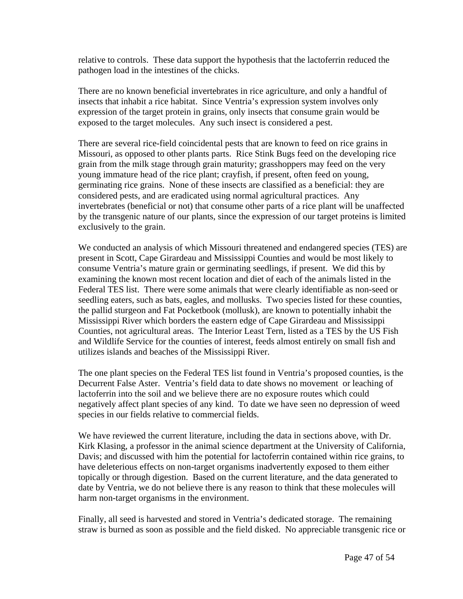relative to controls. These data support the hypothesis that the lactoferrin reduced the pathogen load in the intestines of the chicks.

There are no known beneficial invertebrates in rice agriculture, and only a handful of insects that inhabit a rice habitat. Since Ventria's expression system involves only expression of the target protein in grains, only insects that consume grain would be exposed to the target molecules. Any such insect is considered a pest.

There are several rice-field coincidental pests that are known to feed on rice grains in Missouri, as opposed to other plants parts. Rice Stink Bugs feed on the developing rice grain from the milk stage through grain maturity; grasshoppers may feed on the very young immature head of the rice plant; crayfish, if present, often feed on young, germinating rice grains. None of these insects are classified as a beneficial: they are considered pests, and are eradicated using normal agricultural practices. Any invertebrates (beneficial or not) that consume other parts of a rice plant will be unaffected by the transgenic nature of our plants, since the expression of our target proteins is limited exclusively to the grain.

We conducted an analysis of which Missouri threatened and endangered species (TES) are present in Scott, Cape Girardeau and Mississippi Counties and would be most likely to consume Ventria's mature grain or germinating seedlings, if present. We did this by examining the known most recent location and diet of each of the animals listed in the Federal TES list. There were some animals that were clearly identifiable as non-seed or seedling eaters, such as bats, eagles, and mollusks. Two species listed for these counties, the pallid sturgeon and Fat Pocketbook (mollusk), are known to potentially inhabit the Mississippi River which borders the eastern edge of Cape Girardeau and Mississippi Counties, not agricultural areas. The Interior Least Tern, listed as a TES by the US Fish and Wildlife Service for the counties of interest, feeds almost entirely on small fish and utilizes islands and beaches of the Mississippi River.

The one plant species on the Federal TES list found in Ventria's proposed counties, is the Decurrent False Aster. Ventria's field data to date shows no movement or leaching of lactoferrin into the soil and we believe there are no exposure routes which could negatively affect plant species of any kind. To date we have seen no depression of weed species in our fields relative to commercial fields.

We have reviewed the current literature, including the data in sections above, with Dr. Kirk Klasing, a professor in the animal science department at the University of California, Davis; and discussed with him the potential for lactoferrin contained within rice grains, to have deleterious effects on non-target organisms inadvertently exposed to them either topically or through digestion. Based on the current literature, and the data generated to date by Ventria, we do not believe there is any reason to think that these molecules will harm non-target organisms in the environment.

Finally, all seed is harvested and stored in Ventria's dedicated storage. The remaining straw is burned as soon as possible and the field disked. No appreciable transgenic rice or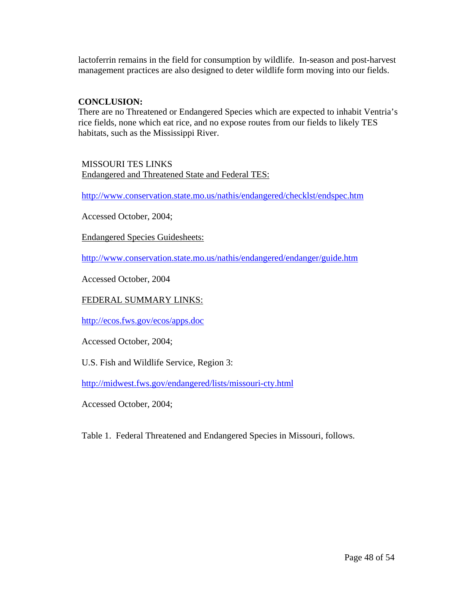lactoferrin remains in the field for consumption by wildlife. In-season and post-harvest management practices are also designed to deter wildlife form moving into our fields.

#### **CONCLUSION:**

There are no Threatened or Endangered Species which are expected to inhabit Ventria's rice fields, none which eat rice, and no expose routes from our fields to likely TES habitats, such as the Mississippi River.

MISSOURI TES LINKS Endangered and Threatened State and Federal TES:

http://www.conservation.state.mo.us/nathis/endangered/checklst/endspec.htm

Accessed October, 2004;

Endangered Species Guidesheets:

http://www.conservation.state.mo.us/nathis/endangered/endanger/guide.htm

Accessed October, 2004

#### FEDERAL SUMMARY LINKS:

http://ecos.fws.gov/ecos/apps.doc

Accessed October, 2004;

U.S. Fish and Wildlife Service, Region 3:

http://midwest.fws.gov/endangered/lists/missouri-cty.html

Accessed October, 2004;

Table 1. Federal Threatened and Endangered Species in Missouri, follows.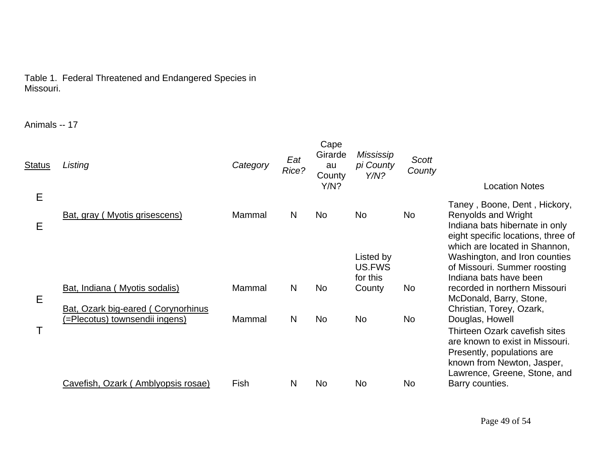#### Table 1. Federal Threatened and Endangered Species in Missouri.

Animals -- 17

| <b>Status</b> | Listing                                                                    | Category | Eat<br>Rice? | Cape<br>Girarde<br>au<br>County<br>Y/N? | Mississip<br>pi County<br>Y/N?  | Scott<br>County | <b>Location Notes</b>                                                                                                                                                           |
|---------------|----------------------------------------------------------------------------|----------|--------------|-----------------------------------------|---------------------------------|-----------------|---------------------------------------------------------------------------------------------------------------------------------------------------------------------------------|
| E<br>Е        | Bat, gray (Myotis grisescens)                                              | Mammal   | $\mathsf{N}$ | <b>No</b>                               | <b>No</b>                       | N <sub>o</sub>  | Taney, Boone, Dent, Hickory,<br>Renyolds and Wright<br>Indiana bats hibernate in only<br>eight specific locations, three of                                                     |
|               |                                                                            |          |              |                                         | Listed by<br>US.FWS<br>for this |                 | which are located in Shannon,<br>Washington, and Iron counties<br>of Missouri. Summer roosting<br>Indiana bats have been                                                        |
| Е             | Bat, Indiana (Myotis sodalis)<br><b>Bat, Ozark big-eared (Corynorhinus</b> | Mammal   | $\mathsf{N}$ | <b>No</b>                               | County                          | No              | recorded in northern Missouri<br>McDonald, Barry, Stone,<br>Christian, Torey, Ozark,                                                                                            |
|               | (=Plecotus) townsendii ingens)                                             | Mammal   | N            | <b>No</b>                               | <b>No</b>                       | No              | Douglas, Howell<br>Thirteen Ozark cavefish sites<br>are known to exist in Missouri.<br>Presently, populations are<br>known from Newton, Jasper,<br>Lawrence, Greene, Stone, and |
|               | Cavefish, Ozark (Amblyopsis rosae)                                         | Fish     | N            | <b>No</b>                               | <b>No</b>                       | No              | Barry counties.                                                                                                                                                                 |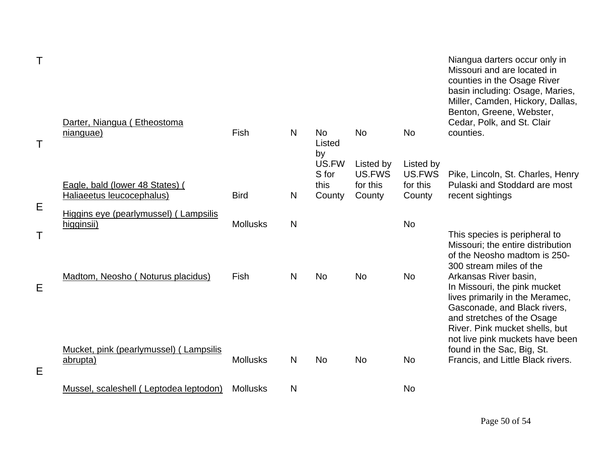|   | Darter, Niangua (Etheostoma                                  |                 |              |                                  |                                           |                                           | Niangua darters occur only in<br>Missouri and are located in<br>counties in the Osage River<br>basin including: Osage, Maries,<br>Miller, Camden, Hickory, Dallas,<br>Benton, Greene, Webster,<br>Cedar, Polk, and St. Clair                                                            |
|---|--------------------------------------------------------------|-----------------|--------------|----------------------------------|-------------------------------------------|-------------------------------------------|-----------------------------------------------------------------------------------------------------------------------------------------------------------------------------------------------------------------------------------------------------------------------------------------|
|   | nianguae)                                                    | Fish            | N            | <b>No</b><br>Listed<br>by        | <b>No</b>                                 | <b>No</b>                                 | counties.                                                                                                                                                                                                                                                                               |
|   | Eagle, bald (lower 48 States) (<br>Haliaeetus leucocephalus) | <b>Bird</b>     | N            | US.FW<br>S for<br>this<br>County | Listed by<br>US.FWS<br>for this<br>County | Listed by<br>US.FWS<br>for this<br>County | Pike, Lincoln, St. Charles, Henry<br>Pulaski and Stoddard are most<br>recent sightings                                                                                                                                                                                                  |
| Е | Higgins eye (pearlymussel) (Lampsilis<br>higginsii)          | <b>Mollusks</b> | $\mathsf{N}$ |                                  |                                           | <b>No</b>                                 |                                                                                                                                                                                                                                                                                         |
| Е | Madtom, Neosho (Noturus placidus)                            | Fish            | N            | <b>No</b>                        | <b>No</b>                                 | <b>No</b>                                 | This species is peripheral to<br>Missouri; the entire distribution<br>of the Neosho madtom is 250-<br>300 stream miles of the<br>Arkansas River basin,<br>In Missouri, the pink mucket<br>lives primarily in the Meramec,<br>Gasconade, and Black rivers,<br>and stretches of the Osage |
| Е | Mucket, pink (pearlymussel) (Lampsilis<br>abrupta)           | <b>Mollusks</b> | N            | <b>No</b>                        | <b>No</b>                                 | <b>No</b>                                 | River. Pink mucket shells, but<br>not live pink muckets have been<br>found in the Sac, Big, St.<br>Francis, and Little Black rivers.                                                                                                                                                    |
|   | Mussel, scaleshell (Leptodea leptodon)                       | <b>Mollusks</b> | N            |                                  |                                           | <b>No</b>                                 |                                                                                                                                                                                                                                                                                         |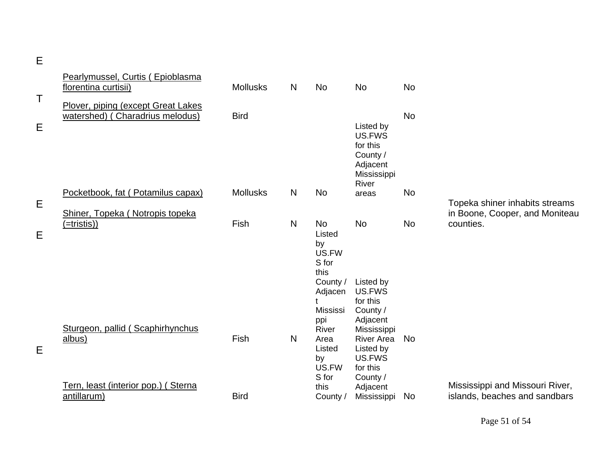|        | Pearlymussel, Curtis (Epioblasma<br>florentina curtisii)                          | <b>Mollusks</b> | N              | <b>No</b>                                                                       | No                                                                                                                              | <b>No</b> |                                                                               |
|--------|-----------------------------------------------------------------------------------|-----------------|----------------|---------------------------------------------------------------------------------|---------------------------------------------------------------------------------------------------------------------------------|-----------|-------------------------------------------------------------------------------|
| T<br>E | Plover, piping (except Great Lakes<br>watershed) (Charadrius melodus)             | <b>Bird</b>     |                |                                                                                 | Listed by<br>US.FWS<br>for this<br>County /<br>Adjacent<br>Mississippi                                                          | <b>No</b> |                                                                               |
|        | Pocketbook, fat (Potamilus capax)                                                 | <b>Mollusks</b> | N              | <b>No</b>                                                                       | River<br>areas                                                                                                                  | <b>No</b> |                                                                               |
| E<br>E | Shiner, Topeka (Notropis topeka<br>(=tristis))                                    | Fish            | N <sub>1</sub> | <b>No</b><br>Listed<br>by<br>US.FW<br>S for<br>this<br>County /<br>Adjacen      | <b>No</b><br>Listed by<br>US.FWS                                                                                                | <b>No</b> | Topeka shiner inhabits streams<br>in Boone, Cooper, and Moniteau<br>counties. |
| E      | Sturgeon, pallid (Scaphirhynchus<br>albus)<br>Tern, least (interior pop.) (Sterna | Fish            | N <sub>1</sub> | t<br>Mississi<br>ppi<br>River<br>Area<br>Listed<br>by<br>US.FW<br>S for<br>this | for this<br>County /<br>Adjacent<br>Mississippi<br><b>River Area</b><br>Listed by<br>US.FWS<br>for this<br>County /<br>Adjacent | <b>No</b> | Mississippi and Missouri River,                                               |
|        | antillarum)                                                                       | <b>Bird</b>     |                | County /                                                                        | Mississippi                                                                                                                     | No        | islands, beaches and sandbars                                                 |

E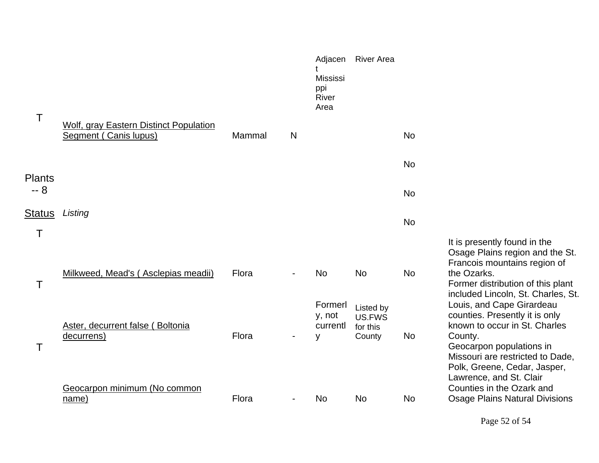| T             | Wolf, gray Eastern Distinct Population         |        |                          | Adjacen<br><b>Mississi</b><br>ppi<br>River<br>Area | <b>River Area</b>                         |           |                                                                                                                                                                                           |
|---------------|------------------------------------------------|--------|--------------------------|----------------------------------------------------|-------------------------------------------|-----------|-------------------------------------------------------------------------------------------------------------------------------------------------------------------------------------------|
|               | Segment (Canis lupus)                          | Mammal | N                        |                                                    |                                           | <b>No</b> |                                                                                                                                                                                           |
| <b>Plants</b> |                                                |        |                          |                                                    |                                           | <b>No</b> |                                                                                                                                                                                           |
| $-8$          |                                                |        |                          |                                                    |                                           | <b>No</b> |                                                                                                                                                                                           |
| <b>Status</b> | Listing                                        |        |                          |                                                    |                                           | <b>No</b> |                                                                                                                                                                                           |
| Τ             |                                                |        |                          |                                                    |                                           |           |                                                                                                                                                                                           |
| Τ             | Milkweed, Mead's (Asclepias meadii)            | Flora  |                          | <b>No</b>                                          | <b>No</b>                                 | <b>No</b> | It is presently found in the<br>Osage Plains region and the St.<br>Francois mountains region of<br>the Ozarks.<br>Former distribution of this plant<br>included Lincoln, St. Charles, St. |
| Τ             | Aster, decurrent false (Boltonia<br>decurrens) | Flora  |                          | Formerl<br>y, not<br>currentl<br>y                 | Listed by<br>US.FWS<br>for this<br>County | <b>No</b> | Louis, and Cape Girardeau<br>counties. Presently it is only<br>known to occur in St. Charles<br>County.<br>Geocarpon populations in<br>Missouri are restricted to Dade,                   |
|               | Geocarpon minimum (No common<br>name)          | Flora  | $\overline{\phantom{a}}$ | No                                                 | <b>No</b>                                 | <b>No</b> | Polk, Greene, Cedar, Jasper,<br>Lawrence, and St. Clair<br>Counties in the Ozark and<br><b>Osage Plains Natural Divisions</b>                                                             |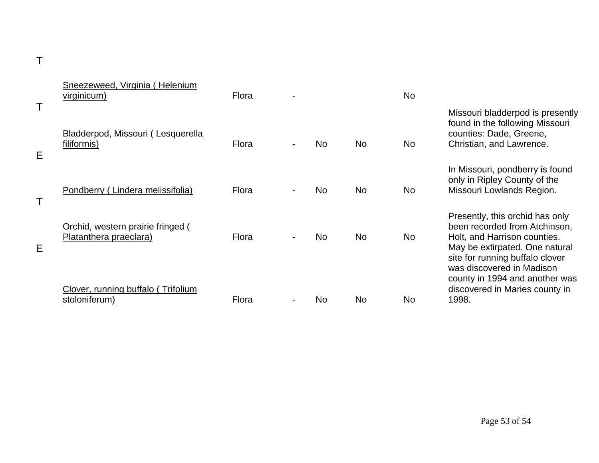|        | Sneezeweed, Virginia (Helenium<br>virginicum)               | Flora |     |           | <b>No</b> |                                                                                                                                                                       |
|--------|-------------------------------------------------------------|-------|-----|-----------|-----------|-----------------------------------------------------------------------------------------------------------------------------------------------------------------------|
| Τ<br>E | Bladderpod, Missouri (Lesquerella<br>filiformis)            | Flora | No. | <b>No</b> | <b>No</b> | Missouri bladderpod is presently<br>found in the following Missouri<br>counties: Dade, Greene,<br>Christian, and Lawrence.                                            |
| Τ      | Pondberry (Lindera melissifolia)                            | Flora | No. | <b>No</b> | No.       | In Missouri, pondberry is found<br>only in Ripley County of the<br>Missouri Lowlands Region.                                                                          |
| Е      | Orchid, western prairie fringed (<br>Platanthera praeclara) | Flora | No. | <b>No</b> | <b>No</b> | Presently, this orchid has only<br>been recorded from Atchinson,<br>Holt, and Harrison counties.<br>May be extirpated. One natural<br>site for running buffalo clover |
|        | Clover, running buffalo (Trifolium<br>stoloniferum)         | Flora | No  | No        | <b>No</b> | was discovered in Madison<br>county in 1994 and another was<br>discovered in Maries county in<br>1998.                                                                |

T